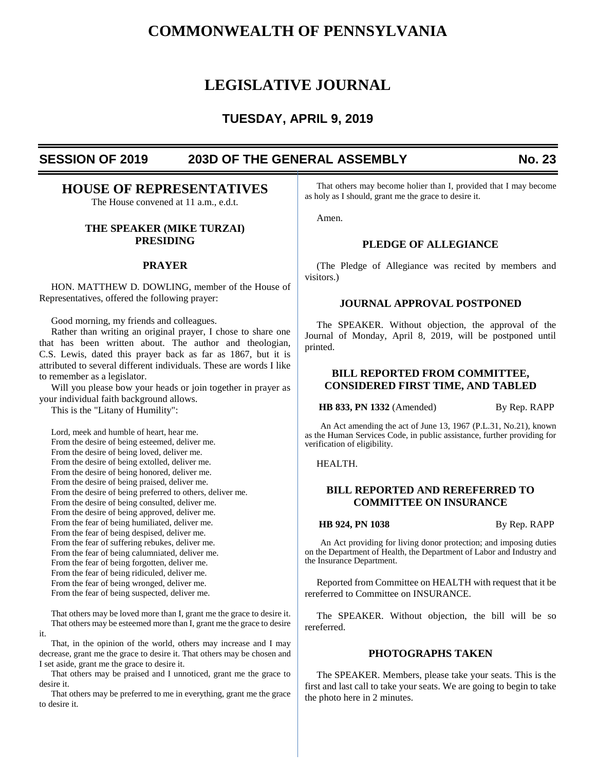# **COMMONWEALTH OF PENNSYLVANIA**

# **LEGISLATIVE JOURNAL**

# **TUESDAY, APRIL 9, 2019**

# **SESSION OF 2019 203D OF THE GENERAL ASSEMBLY No. 23**

# **HOUSE OF REPRESENTATIVES**

The House convened at 11 a.m., e.d.t.

## **THE SPEAKER (MIKE TURZAI) PRESIDING**

## **PRAYER**

HON. MATTHEW D. DOWLING, member of the House of Representatives, offered the following prayer:

Good morning, my friends and colleagues.

Rather than writing an original prayer, I chose to share one that has been written about. The author and theologian, C.S. Lewis, dated this prayer back as far as 1867, but it is attributed to several different individuals. These are words I like to remember as a legislator.

Will you please bow your heads or join together in prayer as your individual faith background allows.

This is the "Litany of Humility":

Lord, meek and humble of heart, hear me. From the desire of being esteemed, deliver me. From the desire of being loved, deliver me. From the desire of being extolled, deliver me. From the desire of being honored, deliver me. From the desire of being praised, deliver me. From the desire of being preferred to others, deliver me. From the desire of being consulted, deliver me. From the desire of being approved, deliver me. From the fear of being humiliated, deliver me. From the fear of being despised, deliver me. From the fear of suffering rebukes, deliver me. From the fear of being calumniated, deliver me. From the fear of being forgotten, deliver me. From the fear of being ridiculed, deliver me. From the fear of being wronged, deliver me. From the fear of being suspected, deliver me.

That others may be loved more than I, grant me the grace to desire it. That others may be esteemed more than I, grant me the grace to desire it.

That, in the opinion of the world, others may increase and I may decrease, grant me the grace to desire it. That others may be chosen and I set aside, grant me the grace to desire it.

That others may be praised and I unnoticed, grant me the grace to desire it.

That others may be preferred to me in everything, grant me the grace to desire it.

That others may become holier than I, provided that I may become as holy as I should, grant me the grace to desire it.

Amen.

## **PLEDGE OF ALLEGIANCE**

(The Pledge of Allegiance was recited by members and visitors.)

### **JOURNAL APPROVAL POSTPONED**

The SPEAKER. Without objection, the approval of the Journal of Monday, April 8, 2019, will be postponed until printed.

## **BILL REPORTED FROM COMMITTEE, CONSIDERED FIRST TIME, AND TABLED**

**HB 833, PN 1332** (Amended) By Rep. RAPP

An Act amending the act of June 13, 1967 (P.L.31, No.21), known as the Human Services Code, in public assistance, further providing for verification of eligibility.

HEALTH.

## **BILL REPORTED AND REREFERRED TO COMMITTEE ON INSURANCE**

**HB 924, PN 1038** By Rep. RAPP

An Act providing for living donor protection; and imposing duties on the Department of Health, the Department of Labor and Industry and the Insurance Department.

Reported from Committee on HEALTH with request that it be rereferred to Committee on INSURANCE.

The SPEAKER. Without objection, the bill will be so rereferred.

## **PHOTOGRAPHS TAKEN**

The SPEAKER. Members, please take your seats. This is the first and last call to take your seats. We are going to begin to take the photo here in 2 minutes.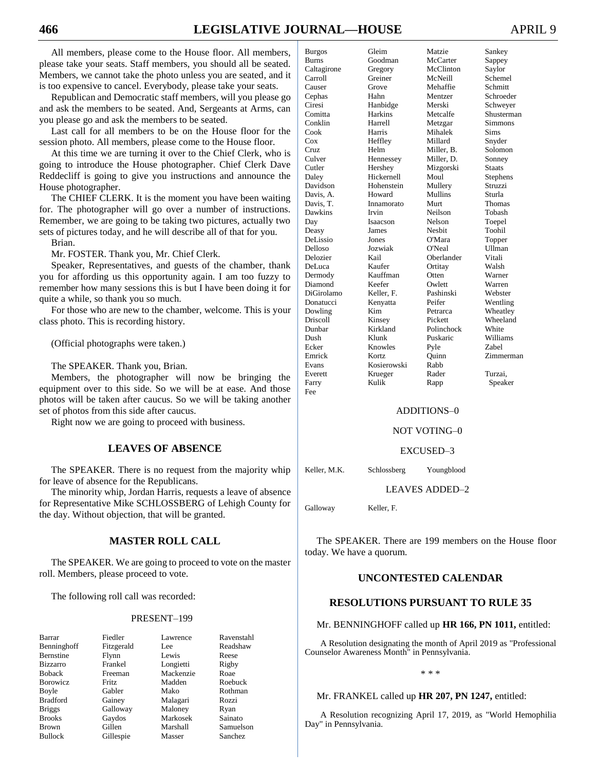All members, please come to the House floor. All members, please take your seats. Staff members, you should all be seated. Members, we cannot take the photo unless you are seated, and it is too expensive to cancel. Everybody, please take your seats.

Republican and Democratic staff members, will you please go and ask the members to be seated. And, Sergeants at Arms, can you please go and ask the members to be seated.

Last call for all members to be on the House floor for the session photo. All members, please come to the House floor.

At this time we are turning it over to the Chief Clerk, who is going to introduce the House photographer. Chief Clerk Dave Reddecliff is going to give you instructions and announce the House photographer.

The CHIEF CLERK. It is the moment you have been waiting for. The photographer will go over a number of instructions. Remember, we are going to be taking two pictures, actually two sets of pictures today, and he will describe all of that for you.

Brian.

Mr. FOSTER. Thank you, Mr. Chief Clerk.

Speaker, Representatives, and guests of the chamber, thank you for affording us this opportunity again. I am too fuzzy to remember how many sessions this is but I have been doing it for quite a while, so thank you so much.

For those who are new to the chamber, welcome. This is your class photo. This is recording history.

(Official photographs were taken.)

The SPEAKER. Thank you, Brian.

Members, the photographer will now be bringing the equipment over to this side. So we will be at ease. And those photos will be taken after caucus. So we will be taking another set of photos from this side after caucus.

Right now we are going to proceed with business.

## **LEAVES OF ABSENCE**

The SPEAKER. There is no request from the majority whip for leave of absence for the Republicans.

The minority whip, Jordan Harris, requests a leave of absence for Representative Mike SCHLOSSBERG of Lehigh County for the day. Without objection, that will be granted.

## **MASTER ROLL CALL**

The SPEAKER. We are going to proceed to vote on the master roll. Members, please proceed to vote.

The following roll call was recorded:

#### PRESENT–199

| Barrar           | Fiedler    | Lawrence  | Raver  |
|------------------|------------|-----------|--------|
| Benninghoff      | Fitzgerald | Lee       | Reads  |
| Bernstine        | Flynn      | Lewis     | Reese  |
| <b>Bizzarro</b>  | Frankel    | Longietti | Rigby  |
| <b>Boback</b>    | Freeman    | Mackenzie | Roae   |
| <b>B</b> orowicz | Fritz      | Madden    | Roebi  |
| Boyle            | Gabler     | Mako      | Rothn  |
| <b>Bradford</b>  | Gainey     | Malagari  | Rozzi  |
| <b>Briggs</b>    | Galloway   | Maloney   | Ryan   |
| <b>Brooks</b>    | Gaydos     | Markosek  | Sainat |
| <b>Brown</b>     | Gillen     | Marshall  | Samu   |
|                  |            |           |        |

Lee Readshaw Longietti Rigby Mackenzie Roae Madden Roebuck Mako Rothman Malagari Rozzi Maloney Ryan Markosek Sainato<br>Marshall Samuels Bullock Gillespie Masser Sanchez

Lawrence Ravenstahl Samuelson

| <b>Burgos</b>   | Gleim          | Matzie     | Sankey       |
|-----------------|----------------|------------|--------------|
| <b>Burns</b>    | Goodman        | McCarter   | Sappey       |
| Caltagirone     | Gregory        | McClinton  | Saylor       |
| Carroll         | Greiner        | McNeill    | Schemel      |
| Causer          | Grove          | Mehaffie   | Schmitt      |
| Cephas          | Hahn           | Mentzer    | Schroeder    |
| Ciresi          | Hanbidge       | Merski     | Schweyer     |
| Comitta         | <b>Harkins</b> | Metcalfe   | Shusterman   |
| Conklin         | <b>Harrell</b> | Metzgar    | Simmons      |
| Cook            | Harris         | Mihalek    | Sims         |
| Cox             | Heffley        | Millard    | Snyder       |
| Cruz            | Helm           | Miller. B. | Solomon      |
| Culver          | Hennessey      | Miller, D. | Sonnev       |
| Cutler          | Hershey        | Mizgorski  | Staats       |
| Daley           | Hickernell     | Moul       | Stephens     |
| Davidson        | Hohenstein     | Mullery    | Struzzi      |
| Davis, A.       | Howard         | Mullins    | Sturla       |
| Davis. T.       | Innamorato     | Murt       | Thomas       |
| Dawkins         | Irvin          | Neilson    | Tobash       |
| Day             | Isaacson       | Nelson     | Toepel       |
| Deasy           | James          | Neshit     | Toohil       |
| DeLissio        | Jones          | O'Mara     | Topper       |
| Delloso         | Jozwiak        | O'Neal     | Ullman       |
| Delozier        | Kail           | Oberlander | Vitali       |
| DeLuca          | Kaufer         | Ortitay    | Walsh        |
| Dermody         | Kauffman       | Otten      | Warner       |
| Diamond         | Keefer         | Owlett     | Warren       |
| DiGirolamo      | Keller, F.     | Pashinski  | Webster      |
| Donatucci       | Kenyatta       | Peifer     | Wentling     |
| Dowling         | Kim            | Petrarca   | Wheatley     |
| <b>Driscoll</b> | Kinsey         | Pickett    | Wheeland     |
| Dunbar          | Kirkland       | Polinchock | White        |
| Dush            | Klunk          | Puskaric   | Williams     |
| Ecker           | Knowles        | Pyle       | <b>Zabel</b> |
| Emrick          | Kortz          | Ouinn      | Zimmerman    |
| Evans           | Kosierowski    | Rabb       |              |
| Everett         | Krueger        | Rader      | Turzai,      |
| Farry           | Kulik          | Rapp       | Speaker      |
| Fee             |                |            |              |

## ADDITIONS–0

#### NOT VOTING–0

#### EXCUSED–3

Keller, M.K. Schlossberg Youngblood

LEAVES ADDED–2

Galloway Keller, F.

The SPEAKER. There are 199 members on the House floor today. We have a quorum.

## **UNCONTESTED CALENDAR**

## **RESOLUTIONS PURSUANT TO RULE 35**

#### Mr. BENNINGHOFF called up **HR 166, PN 1011,** entitled:

A Resolution designating the month of April 2019 as "Professional Counselor Awareness Month" in Pennsylvania.

\* \* \*

#### Mr. FRANKEL called up **HR 207, PN 1247,** entitled:

A Resolution recognizing April 17, 2019, as "World Hemophilia Day" in Pennsylvania.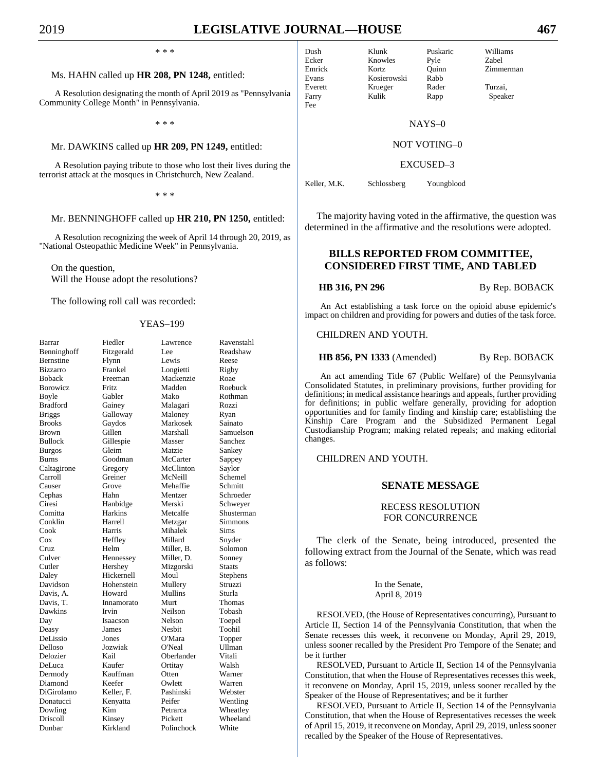Fee

\* \* \*

#### Ms. HAHN called up **HR 208, PN 1248,** entitled:

A Resolution designating the month of April 2019 as "Pennsylvania Community College Month" in Pennsylvania.

\* \* \*

#### Mr. DAWKINS called up **HR 209, PN 1249,** entitled:

A Resolution paying tribute to those who lost their lives during the terrorist attack at the mosques in Christchurch, New Zealand.

\* \* \*

#### Mr. BENNINGHOFF called up **HR 210, PN 1250,** entitled:

A Resolution recognizing the week of April 14 through 20, 2019, as "National Osteopathic Medicine Week" in Pennsylvania.

On the question, Will the House adopt the resolutions?

The following roll call was recorded:

#### YEAS–199

| Barrar           | Fiedler    | Lawrence   | Ravenstahl    |
|------------------|------------|------------|---------------|
| Benninghoff      | Fitzgerald | Lee        | Readshaw      |
| <b>Bernstine</b> | Flynn      | Lewis      | Reese         |
| Bizzarro         | Frankel    | Longietti  | Rigby         |
| Boback           | Freeman    | Mackenzie  | Roae          |
| Borowicz         | Fritz      | Madden     | Roebuck       |
| Boyle            | Gabler     | Mako       | Rothman       |
| Bradford         | Gainey     | Malagari   | Rozzi         |
| <b>Briggs</b>    | Galloway   | Maloney    | Ryan          |
| <b>Brooks</b>    | Gaydos     | Markosek   | Sainato       |
| Brown            | Gillen     | Marshall   | Samuelson     |
| <b>Bullock</b>   | Gillespie  | Masser     | Sanchez       |
| <b>Burgos</b>    | Gleim      | Matzie     | Sankey        |
| Burns            | Goodman    | McCarter   | Sappey        |
| Caltagirone      | Gregory    | McClinton  | Saylor        |
| Carroll          | Greiner    | McNeill    | Schemel       |
| Causer           | Grove      | Mehaffie   | Schmitt       |
| Cephas           | Hahn       | Mentzer    | Schroeder     |
| Ciresi           | Hanbidge   | Merski     | Schweyer      |
| Comitta          | Harkins    | Metcalfe   | Shusterman    |
| Conklin          | Harrell    | Metzgar    | Simmons       |
| Cook             | Harris     | Mihalek    | Sims          |
| Cox              | Heffley    | Millard    | Snyder        |
| Cruz             | Helm       | Miller, B. | Solomon       |
| Culver           | Hennessey  | Miller, D. | Sonney        |
| Cutler           | Hershey    | Mizgorski  | <b>Staats</b> |
| Daley            | Hickernell | Moul       | Stephens      |
| Davidson         | Hohenstein | Mullery    | Struzzi       |
| Davis, A.        | Howard     | Mullins    | Sturla        |
| Davis, T.        | Innamorato | Murt       | Thomas        |
| Dawkins          | Irvin      | Neilson    | Tobash        |
| Day              | Isaacson   | Nelson     | Toepel        |
| Deasy            | James      | Nesbit     | Toohil        |
| DeLissio         | Jones      | O'Mara     | Topper        |
| Delloso          | Jozwiak    | O'Neal     | Ullman        |
| Delozier         | Kail       | Oberlander | Vitali        |
| DeLuca           | Kaufer     | Ortitay    | Walsh         |
| Dermody          | Kauffman   | Otten      | Warner        |
| Diamond          | Keefer     | Owlett     | Warren        |
| DiGirolamo       | Keller, F. | Pashinski  | Webster       |
| Donatucci        | Kenyatta   | Peifer     | Wentling      |
| Dowling          | Kim        | Petrarca   | Wheatley      |
| Driscoll         | Kinsey     | Pickett    | Wheeland      |
| Dunbar           | Kirkland   | Polinchock | White         |
|                  |            |            |               |

Dush Klunk Puskaric Williams Ecker Knowles Pyle Zabel

Emrick Kortz Quinn Zimmerman Evans Kosierowski Rabb Everett Krueger Rader Turzai, Farry Kulik Rapp Speaker

NAYS–0

#### NOT VOTING–0

EXCUSED–3

Keller, M.K. Schlossberg Youngblood

The majority having voted in the affirmative, the question was determined in the affirmative and the resolutions were adopted.

## **BILLS REPORTED FROM COMMITTEE, CONSIDERED FIRST TIME, AND TABLED**

#### **HB 316, PN 296** By Rep. BOBACK

An Act establishing a task force on the opioid abuse epidemic's impact on children and providing for powers and duties of the task force.

#### CHILDREN AND YOUTH.

#### **HB 856, PN 1333** (Amended) By Rep. BOBACK

An act amending Title 67 (Public Welfare) of the Pennsylvania Consolidated Statutes, in preliminary provisions, further providing for definitions; in medical assistance hearings and appeals, further providing for definitions; in public welfare generally, providing for adoption opportunities and for family finding and kinship care; establishing the Kinship Care Program and the Subsidized Permanent Legal Custodianship Program; making related repeals; and making editorial changes.

#### CHILDREN AND YOUTH.

## **SENATE MESSAGE**

## RECESS RESOLUTION FOR CONCURRENCE

The clerk of the Senate, being introduced, presented the following extract from the Journal of the Senate, which was read as follows:

> In the Senate, April 8, 2019

RESOLVED, (the House of Representatives concurring), Pursuant to Article II, Section 14 of the Pennsylvania Constitution, that when the Senate recesses this week, it reconvene on Monday, April 29, 2019, unless sooner recalled by the President Pro Tempore of the Senate; and be it further

RESOLVED, Pursuant to Article II, Section 14 of the Pennsylvania Constitution, that when the House of Representatives recesses this week, it reconvene on Monday, April 15, 2019, unless sooner recalled by the Speaker of the House of Representatives; and be it further

RESOLVED, Pursuant to Article II, Section 14 of the Pennsylvania Constitution, that when the House of Representatives recesses the week of April 15, 2019, it reconvene on Monday, April 29, 2019, unless sooner recalled by the Speaker of the House of Representatives.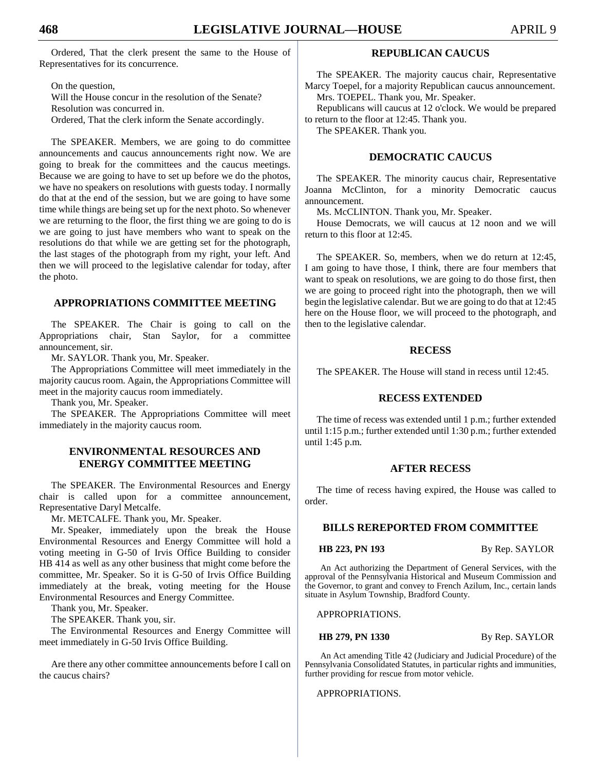Ordered, That the clerk present the same to the House of Representatives for its concurrence.

On the question, Will the House concur in the resolution of the Senate? Resolution was concurred in. Ordered, That the clerk inform the Senate accordingly.

The SPEAKER. Members, we are going to do committee announcements and caucus announcements right now. We are going to break for the committees and the caucus meetings. Because we are going to have to set up before we do the photos, we have no speakers on resolutions with guests today. I normally do that at the end of the session, but we are going to have some time while things are being set up for the next photo. So whenever we are returning to the floor, the first thing we are going to do is we are going to just have members who want to speak on the resolutions do that while we are getting set for the photograph, the last stages of the photograph from my right, your left. And then we will proceed to the legislative calendar for today, after the photo.

## **APPROPRIATIONS COMMITTEE MEETING**

The SPEAKER. The Chair is going to call on the Appropriations chair, Stan Saylor, for a committee announcement, sir.

Mr. SAYLOR. Thank you, Mr. Speaker.

The Appropriations Committee will meet immediately in the majority caucus room. Again, the Appropriations Committee will meet in the majority caucus room immediately.

Thank you, Mr. Speaker.

The SPEAKER. The Appropriations Committee will meet immediately in the majority caucus room.

## **ENVIRONMENTAL RESOURCES AND ENERGY COMMITTEE MEETING**

The SPEAKER. The Environmental Resources and Energy chair is called upon for a committee announcement, Representative Daryl Metcalfe.

Mr. METCALFE. Thank you, Mr. Speaker.

Mr. Speaker, immediately upon the break the House Environmental Resources and Energy Committee will hold a voting meeting in G-50 of Irvis Office Building to consider HB 414 as well as any other business that might come before the committee, Mr. Speaker. So it is G-50 of Irvis Office Building immediately at the break, voting meeting for the House Environmental Resources and Energy Committee.

Thank you, Mr. Speaker.

The SPEAKER. Thank you, sir.

The Environmental Resources and Energy Committee will meet immediately in G-50 Irvis Office Building.

Are there any other committee announcements before I call on the caucus chairs?

## **REPUBLICAN CAUCUS**

The SPEAKER. The majority caucus chair, Representative Marcy Toepel, for a majority Republican caucus announcement. Mrs. TOEPEL. Thank you, Mr. Speaker.

Republicans will caucus at 12 o'clock. We would be prepared to return to the floor at 12:45. Thank you.

The SPEAKER. Thank you.

## **DEMOCRATIC CAUCUS**

The SPEAKER. The minority caucus chair, Representative Joanna McClinton, for a minority Democratic caucus announcement.

Ms. McCLINTON. Thank you, Mr. Speaker.

House Democrats, we will caucus at 12 noon and we will return to this floor at 12:45.

The SPEAKER. So, members, when we do return at 12:45, I am going to have those, I think, there are four members that want to speak on resolutions, we are going to do those first, then we are going to proceed right into the photograph, then we will begin the legislative calendar. But we are going to do that at 12:45 here on the House floor, we will proceed to the photograph, and then to the legislative calendar.

### **RECESS**

The SPEAKER. The House will stand in recess until 12:45.

## **RECESS EXTENDED**

The time of recess was extended until 1 p.m.; further extended until 1:15 p.m.; further extended until 1:30 p.m.; further extended until 1:45 p.m.

## **AFTER RECESS**

The time of recess having expired, the House was called to order.

## **BILLS REREPORTED FROM COMMITTEE**

**HB 223, PN 193** By Rep. SAYLOR

An Act authorizing the Department of General Services, with the approval of the Pennsylvania Historical and Museum Commission and the Governor, to grant and convey to French Azilum, Inc., certain lands situate in Asylum Township, Bradford County.

APPROPRIATIONS.

**HB 279, PN 1330** By Rep. SAYLOR

An Act amending Title 42 (Judiciary and Judicial Procedure) of the Pennsylvania Consolidated Statutes, in particular rights and immunities, further providing for rescue from motor vehicle.

APPROPRIATIONS.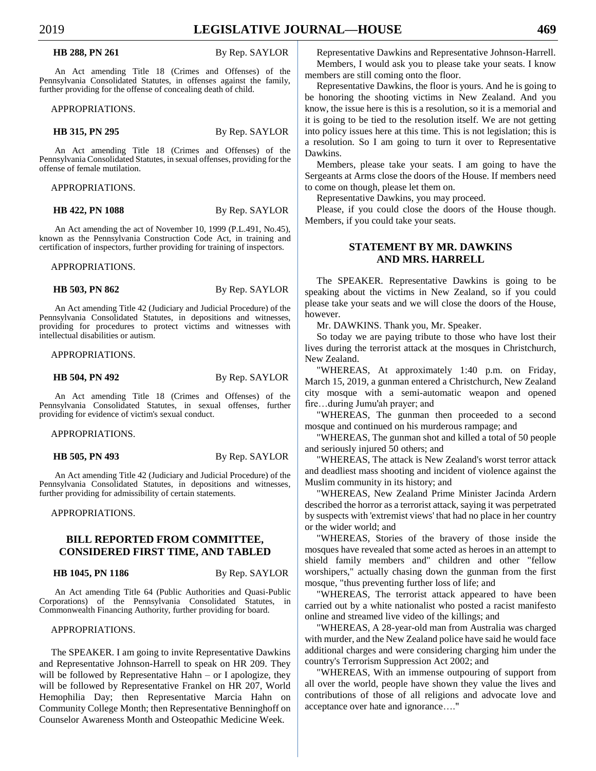## 2019 **LEGISLATIVE JOURNAL—HOUSE 469**

**HB 288, PN 261** By Rep. SAYLOR

An Act amending Title 18 (Crimes and Offenses) of the Pennsylvania Consolidated Statutes, in offenses against the family, further providing for the offense of concealing death of child.

APPROPRIATIONS.

**HB 315, PN 295** By Rep. SAYLOR

An Act amending Title 18 (Crimes and Offenses) of the Pennsylvania Consolidated Statutes, in sexual offenses, providing for the offense of female mutilation.

APPROPRIATIONS.

**HB 422, PN 1088** By Rep. SAYLOR

An Act amending the act of November 10, 1999 (P.L.491, No.45), known as the Pennsylvania Construction Code Act, in training and certification of inspectors, further providing for training of inspectors.

APPROPRIATIONS.

**HB 503, PN 862** By Rep. SAYLOR

An Act amending Title 42 (Judiciary and Judicial Procedure) of the Pennsylvania Consolidated Statutes, in depositions and witnesses, providing for procedures to protect victims and witnesses with intellectual disabilities or autism.

APPROPRIATIONS.

**HB 504, PN 492** By Rep. SAYLOR

An Act amending Title 18 (Crimes and Offenses) of the Pennsylvania Consolidated Statutes, in sexual offenses, further providing for evidence of victim's sexual conduct.

APPROPRIATIONS.

**HB 505, PN 493** By Rep. SAYLOR

An Act amending Title 42 (Judiciary and Judicial Procedure) of the Pennsylvania Consolidated Statutes, in depositions and witnesses, further providing for admissibility of certain statements.

APPROPRIATIONS.

## **BILL REPORTED FROM COMMITTEE, CONSIDERED FIRST TIME, AND TABLED**

#### **HB 1045, PN 1186** By Rep. SAYLOR

An Act amending Title 64 (Public Authorities and Quasi-Public Corporations) of the Pennsylvania Consolidated Statutes, in Commonwealth Financing Authority, further providing for board.

#### APPROPRIATIONS.

The SPEAKER. I am going to invite Representative Dawkins and Representative Johnson-Harrell to speak on HR 209. They will be followed by Representative Hahn – or I apologize, they will be followed by Representative Frankel on HR 207, World Hemophilia Day; then Representative Marcia Hahn on Community College Month; then Representative Benninghoff on Counselor Awareness Month and Osteopathic Medicine Week.

Representative Dawkins and Representative Johnson-Harrell. Members, I would ask you to please take your seats. I know members are still coming onto the floor.

Representative Dawkins, the floor is yours. And he is going to be honoring the shooting victims in New Zealand. And you know, the issue here is this is a resolution, so it is a memorial and it is going to be tied to the resolution itself. We are not getting into policy issues here at this time. This is not legislation; this is a resolution. So I am going to turn it over to Representative Dawkins.

Members, please take your seats. I am going to have the Sergeants at Arms close the doors of the House. If members need to come on though, please let them on.

Representative Dawkins, you may proceed.

Please, if you could close the doors of the House though. Members, if you could take your seats.

## **STATEMENT BY MR. DAWKINS AND MRS. HARRELL**

The SPEAKER. Representative Dawkins is going to be speaking about the victims in New Zealand, so if you could please take your seats and we will close the doors of the House, however.

Mr. DAWKINS. Thank you, Mr. Speaker.

So today we are paying tribute to those who have lost their lives during the terrorist attack at the mosques in Christchurch, New Zealand.

"WHEREAS, At approximately 1:40 p.m. on Friday, March 15, 2019, a gunman entered a Christchurch, New Zealand city mosque with a semi-automatic weapon and opened fire…during Jumu'ah prayer; and

"WHEREAS, The gunman then proceeded to a second mosque and continued on his murderous rampage; and

"WHEREAS, The gunman shot and killed a total of 50 people and seriously injured 50 others; and

"WHEREAS, The attack is New Zealand's worst terror attack and deadliest mass shooting and incident of violence against the Muslim community in its history; and

"WHEREAS, New Zealand Prime Minister Jacinda Ardern described the horror as a terrorist attack, saying it was perpetrated by suspects with 'extremist views' that had no place in her country or the wider world; and

"WHEREAS, Stories of the bravery of those inside the mosques have revealed that some acted as heroes in an attempt to shield family members and" children and other "fellow worshipers," actually chasing down the gunman from the first mosque, "thus preventing further loss of life; and

"WHEREAS, The terrorist attack appeared to have been carried out by a white nationalist who posted a racist manifesto online and streamed live video of the killings; and

"WHEREAS, A 28-year-old man from Australia was charged with murder, and the New Zealand police have said he would face additional charges and were considering charging him under the country's Terrorism Suppression Act 2002; and

"WHEREAS, With an immense outpouring of support from all over the world, people have shown they value the lives and contributions of those of all religions and advocate love and acceptance over hate and ignorance…."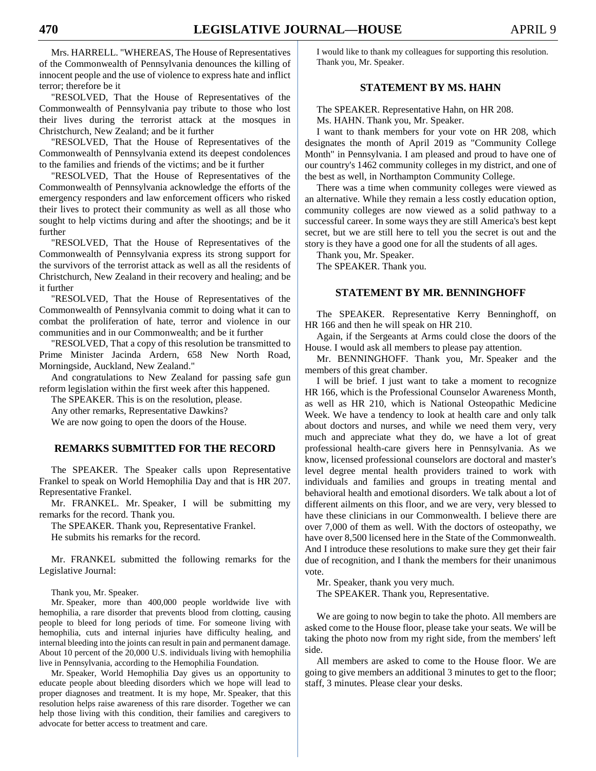Mrs. HARRELL. "WHEREAS, The House of Representatives of the Commonwealth of Pennsylvania denounces the killing of innocent people and the use of violence to express hate and inflict terror; therefore be it

"RESOLVED, That the House of Representatives of the Commonwealth of Pennsylvania pay tribute to those who lost their lives during the terrorist attack at the mosques in Christchurch, New Zealand; and be it further

"RESOLVED, That the House of Representatives of the Commonwealth of Pennsylvania extend its deepest condolences to the families and friends of the victims; and be it further

"RESOLVED, That the House of Representatives of the Commonwealth of Pennsylvania acknowledge the efforts of the emergency responders and law enforcement officers who risked their lives to protect their community as well as all those who sought to help victims during and after the shootings; and be it further

"RESOLVED, That the House of Representatives of the Commonwealth of Pennsylvania express its strong support for the survivors of the terrorist attack as well as all the residents of Christchurch, New Zealand in their recovery and healing; and be it further

"RESOLVED, That the House of Representatives of the Commonwealth of Pennsylvania commit to doing what it can to combat the proliferation of hate, terror and violence in our communities and in our Commonwealth; and be it further

"RESOLVED, That a copy of this resolution be transmitted to Prime Minister Jacinda Ardern, 658 New North Road, Morningside, Auckland, New Zealand."

And congratulations to New Zealand for passing safe gun reform legislation within the first week after this happened.

The SPEAKER. This is on the resolution, please.

Any other remarks, Representative Dawkins?

We are now going to open the doors of the House.

## **REMARKS SUBMITTED FOR THE RECORD**

The SPEAKER. The Speaker calls upon Representative Frankel to speak on World Hemophilia Day and that is HR 207. Representative Frankel.

Mr. FRANKEL. Mr. Speaker, I will be submitting my remarks for the record. Thank you.

The SPEAKER. Thank you, Representative Frankel. He submits his remarks for the record.

Mr. FRANKEL submitted the following remarks for the Legislative Journal:

Thank you, Mr. Speaker.

Mr. Speaker, more than 400,000 people worldwide live with hemophilia, a rare disorder that prevents blood from clotting, causing people to bleed for long periods of time. For someone living with hemophilia, cuts and internal injuries have difficulty healing, and internal bleeding into the joints can result in pain and permanent damage. About 10 percent of the 20,000 U.S. individuals living with hemophilia live in Pennsylvania, according to the Hemophilia Foundation.

Mr. Speaker, World Hemophilia Day gives us an opportunity to educate people about bleeding disorders which we hope will lead to proper diagnoses and treatment. It is my hope, Mr. Speaker, that this resolution helps raise awareness of this rare disorder. Together we can help those living with this condition, their families and caregivers to advocate for better access to treatment and care.

I would like to thank my colleagues for supporting this resolution. Thank you, Mr. Speaker.

## **STATEMENT BY MS. HAHN**

The SPEAKER. Representative Hahn, on HR 208. Ms. HAHN. Thank you, Mr. Speaker.

I want to thank members for your vote on HR 208, which designates the month of April 2019 as "Community College Month" in Pennsylvania. I am pleased and proud to have one of our country's 1462 community colleges in my district, and one of the best as well, in Northampton Community College.

There was a time when community colleges were viewed as an alternative. While they remain a less costly education option, community colleges are now viewed as a solid pathway to a successful career. In some ways they are still America's best kept secret, but we are still here to tell you the secret is out and the story is they have a good one for all the students of all ages.

Thank you, Mr. Speaker.

The SPEAKER. Thank you.

### **STATEMENT BY MR. BENNINGHOFF**

The SPEAKER. Representative Kerry Benninghoff, on HR 166 and then he will speak on HR 210.

Again, if the Sergeants at Arms could close the doors of the House. I would ask all members to please pay attention.

Mr. BENNINGHOFF. Thank you, Mr. Speaker and the members of this great chamber.

I will be brief. I just want to take a moment to recognize HR 166, which is the Professional Counselor Awareness Month, as well as HR 210, which is National Osteopathic Medicine Week. We have a tendency to look at health care and only talk about doctors and nurses, and while we need them very, very much and appreciate what they do, we have a lot of great professional health-care givers here in Pennsylvania. As we know, licensed professional counselors are doctoral and master's level degree mental health providers trained to work with individuals and families and groups in treating mental and behavioral health and emotional disorders. We talk about a lot of different ailments on this floor, and we are very, very blessed to have these clinicians in our Commonwealth. I believe there are over 7,000 of them as well. With the doctors of osteopathy, we have over 8,500 licensed here in the State of the Commonwealth. And I introduce these resolutions to make sure they get their fair due of recognition, and I thank the members for their unanimous vote.

Mr. Speaker, thank you very much.

The SPEAKER. Thank you, Representative.

We are going to now begin to take the photo. All members are asked come to the House floor, please take your seats. We will be taking the photo now from my right side, from the members' left side.

All members are asked to come to the House floor. We are going to give members an additional 3 minutes to get to the floor; staff, 3 minutes. Please clear your desks.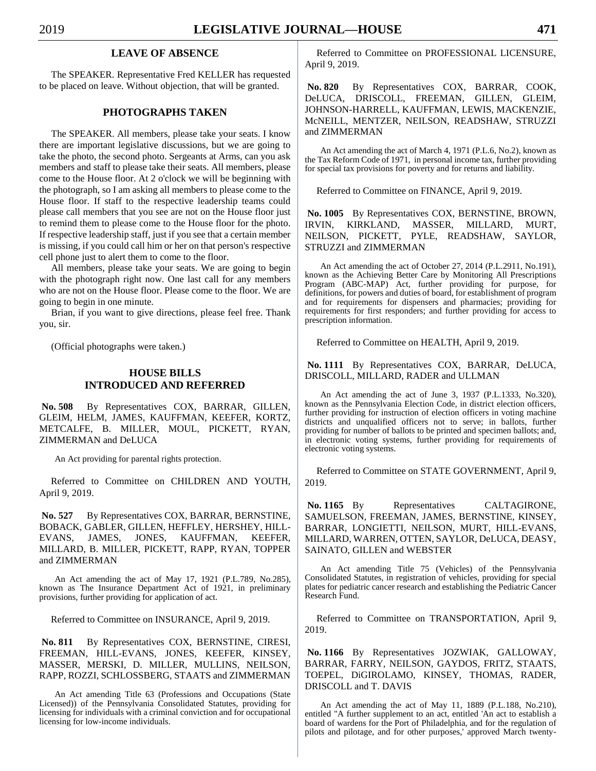## **LEAVE OF ABSENCE**

The SPEAKER. Representative Fred KELLER has requested to be placed on leave. Without objection, that will be granted.

## **PHOTOGRAPHS TAKEN**

The SPEAKER. All members, please take your seats. I know there are important legislative discussions, but we are going to take the photo, the second photo. Sergeants at Arms, can you ask members and staff to please take their seats. All members, please come to the House floor. At 2 o'clock we will be beginning with the photograph, so I am asking all members to please come to the House floor. If staff to the respective leadership teams could please call members that you see are not on the House floor just to remind them to please come to the House floor for the photo. If respective leadership staff, just if you see that a certain member is missing, if you could call him or her on that person's respective cell phone just to alert them to come to the floor.

All members, please take your seats. We are going to begin with the photograph right now. One last call for any members who are not on the House floor. Please come to the floor. We are going to begin in one minute.

Brian, if you want to give directions, please feel free. Thank you, sir.

(Official photographs were taken.)

## **HOUSE BILLS INTRODUCED AND REFERRED**

**No. 508** By Representatives COX, BARRAR, GILLEN, GLEIM, HELM, JAMES, KAUFFMAN, KEEFER, KORTZ, METCALFE, B. MILLER, MOUL, PICKETT, RYAN, ZIMMERMAN and DeLUCA

An Act providing for parental rights protection.

Referred to Committee on CHILDREN AND YOUTH, April 9, 2019.

**No. 527** By Representatives COX, BARRAR, BERNSTINE, BOBACK, GABLER, GILLEN, HEFFLEY, HERSHEY, HILL-EVANS, JAMES, JONES, KAUFFMAN, KEEFER, MILLARD, B. MILLER, PICKETT, RAPP, RYAN, TOPPER and ZIMMERMAN

An Act amending the act of May 17, 1921 (P.L.789, No.285), known as The Insurance Department Act of 1921, in preliminary provisions, further providing for application of act.

Referred to Committee on INSURANCE, April 9, 2019.

No. 811 By Representatives COX, BERNSTINE, CIRESI, FREEMAN, HILL-EVANS, JONES, KEEFER, KINSEY, MASSER, MERSKI, D. MILLER, MULLINS, NEILSON, RAPP, ROZZI, SCHLOSSBERG, STAATS and ZIMMERMAN

An Act amending Title 63 (Professions and Occupations (State Licensed)) of the Pennsylvania Consolidated Statutes, providing for licensing for individuals with a criminal conviction and for occupational licensing for low-income individuals.

Referred to Committee on PROFESSIONAL LICENSURE, April 9, 2019.

**No. 820** By Representatives COX, BARRAR, COOK, DeLUCA, DRISCOLL, FREEMAN, GILLEN, GLEIM, JOHNSON-HARRELL, KAUFFMAN, LEWIS, MACKENZIE, McNEILL, MENTZER, NEILSON, READSHAW, STRUZZI and ZIMMERMAN

An Act amending the act of March 4, 1971 (P.L.6, No.2), known as the Tax Reform Code of 1971, in personal income tax, further providing for special tax provisions for poverty and for returns and liability.

Referred to Committee on FINANCE, April 9, 2019.

**No. 1005** By Representatives COX, BERNSTINE, BROWN, IRVIN, KIRKLAND, MASSER, MILLARD, MURT, NEILSON, PICKETT, PYLE, READSHAW, SAYLOR, STRUZZI and ZIMMERMAN

An Act amending the act of October 27, 2014 (P.L.2911, No.191), known as the Achieving Better Care by Monitoring All Prescriptions Program (ABC-MAP) Act, further providing for purpose, for definitions, for powers and duties of board, for establishment of program and for requirements for dispensers and pharmacies; providing for requirements for first responders; and further providing for access to prescription information.

Referred to Committee on HEALTH, April 9, 2019.

**No. 1111** By Representatives COX, BARRAR, DeLUCA, DRISCOLL, MILLARD, RADER and ULLMAN

An Act amending the act of June 3, 1937 (P.L.1333, No.320), known as the Pennsylvania Election Code, in district election officers, further providing for instruction of election officers in voting machine districts and unqualified officers not to serve; in ballots, further providing for number of ballots to be printed and specimen ballots; and, in electronic voting systems, further providing for requirements of electronic voting systems.

Referred to Committee on STATE GOVERNMENT, April 9, 2019.

No. 1165 By Representatives CALTAGIRONE, SAMUELSON, FREEMAN, JAMES, BERNSTINE, KINSEY, BARRAR, LONGIETTI, NEILSON, MURT, HILL-EVANS, MILLARD, WARREN, OTTEN, SAYLOR, DeLUCA, DEASY, SAINATO, GILLEN and WEBSTER

An Act amending Title 75 (Vehicles) of the Pennsylvania Consolidated Statutes, in registration of vehicles, providing for special plates for pediatric cancer research and establishing the Pediatric Cancer Research Fund.

Referred to Committee on TRANSPORTATION, April 9, 2019.

**No. 1166** By Representatives JOZWIAK, GALLOWAY, BARRAR, FARRY, NEILSON, GAYDOS, FRITZ, STAATS, TOEPEL, DiGIROLAMO, KINSEY, THOMAS, RADER, DRISCOLL and T. DAVIS

An Act amending the act of May 11, 1889 (P.L.188, No.210), entitled "A further supplement to an act, entitled 'An act to establish a board of wardens for the Port of Philadelphia, and for the regulation of pilots and pilotage, and for other purposes,' approved March twenty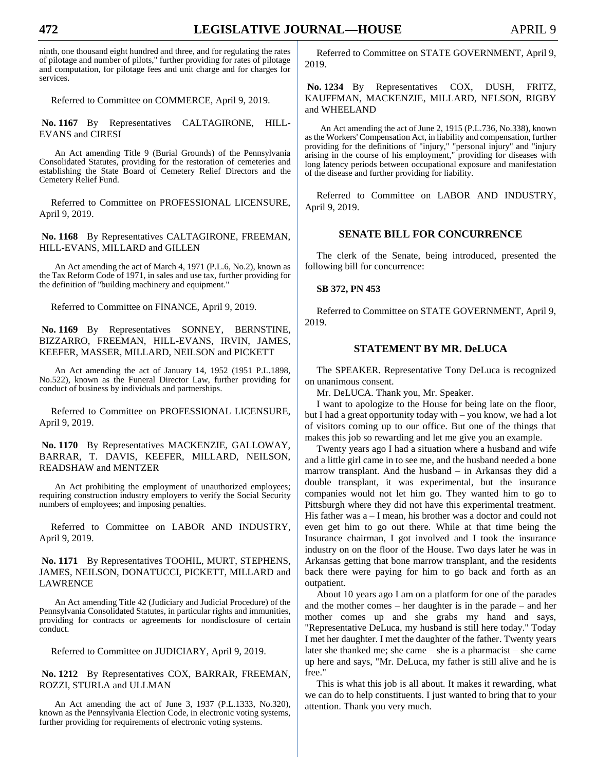ninth, one thousand eight hundred and three, and for regulating the rates of pilotage and number of pilots," further providing for rates of pilotage and computation, for pilotage fees and unit charge and for charges for services.

Referred to Committee on COMMERCE, April 9, 2019.

**No. 1167** By Representatives CALTAGIRONE, HILL-EVANS and CIRESI

An Act amending Title 9 (Burial Grounds) of the Pennsylvania Consolidated Statutes, providing for the restoration of cemeteries and establishing the State Board of Cemetery Relief Directors and the Cemetery Relief Fund.

Referred to Committee on PROFESSIONAL LICENSURE, April 9, 2019.

**No. 1168** By Representatives CALTAGIRONE, FREEMAN, HILL-EVANS, MILLARD and GILLEN

An Act amending the act of March 4, 1971 (P.L.6, No.2), known as the Tax Reform Code of 1971, in sales and use tax, further providing for the definition of "building machinery and equipment."

Referred to Committee on FINANCE, April 9, 2019.

**No. 1169** By Representatives SONNEY, BERNSTINE, BIZZARRO, FREEMAN, HILL-EVANS, IRVIN, JAMES, KEEFER, MASSER, MILLARD, NEILSON and PICKETT

An Act amending the act of January 14, 1952 (1951 P.L.1898, No.522), known as the Funeral Director Law, further providing for conduct of business by individuals and partnerships.

Referred to Committee on PROFESSIONAL LICENSURE, April 9, 2019.

No. 1170 By Representatives MACKENZIE, GALLOWAY, BARRAR, T. DAVIS, KEEFER, MILLARD, NEILSON, READSHAW and MENTZER

An Act prohibiting the employment of unauthorized employees; requiring construction industry employers to verify the Social Security numbers of employees; and imposing penalties.

Referred to Committee on LABOR AND INDUSTRY, April 9, 2019.

**No. 1171** By Representatives TOOHIL, MURT, STEPHENS, JAMES, NEILSON, DONATUCCI, PICKETT, MILLARD and LAWRENCE

An Act amending Title 42 (Judiciary and Judicial Procedure) of the Pennsylvania Consolidated Statutes, in particular rights and immunities, providing for contracts or agreements for nondisclosure of certain conduct.

Referred to Committee on JUDICIARY, April 9, 2019.

**No. 1212** By Representatives COX, BARRAR, FREEMAN, ROZZI, STURLA and ULLMAN

An Act amending the act of June 3, 1937 (P.L.1333, No.320), known as the Pennsylvania Election Code, in electronic voting systems, further providing for requirements of electronic voting systems.

Referred to Committee on STATE GOVERNMENT, April 9, 2019.

**No. 1234** By Representatives COX, DUSH, FRITZ, KAUFFMAN, MACKENZIE, MILLARD, NELSON, RIGBY and WHEELAND

An Act amending the act of June 2, 1915 (P.L.736, No.338), known as the Workers' Compensation Act, in liability and compensation, further providing for the definitions of "injury," "personal injury" and "injury arising in the course of his employment," providing for diseases with long latency periods between occupational exposure and manifestation of the disease and further providing for liability.

Referred to Committee on LABOR AND INDUSTRY, April 9, 2019.

## **SENATE BILL FOR CONCURRENCE**

The clerk of the Senate, being introduced, presented the following bill for concurrence:

#### **SB 372, PN 453**

Referred to Committee on STATE GOVERNMENT, April 9, 2019.

## **STATEMENT BY MR. DeLUCA**

The SPEAKER. Representative Tony DeLuca is recognized on unanimous consent.

Mr. DeLUCA. Thank you, Mr. Speaker.

I want to apologize to the House for being late on the floor, but I had a great opportunity today with – you know, we had a lot of visitors coming up to our office. But one of the things that makes this job so rewarding and let me give you an example.

Twenty years ago I had a situation where a husband and wife and a little girl came in to see me, and the husband needed a bone marrow transplant. And the husband – in Arkansas they did a double transplant, it was experimental, but the insurance companies would not let him go. They wanted him to go to Pittsburgh where they did not have this experimental treatment. His father was  $a - I$  mean, his brother was a doctor and could not even get him to go out there. While at that time being the Insurance chairman, I got involved and I took the insurance industry on on the floor of the House. Two days later he was in Arkansas getting that bone marrow transplant, and the residents back there were paying for him to go back and forth as an outpatient.

About 10 years ago I am on a platform for one of the parades and the mother comes – her daughter is in the parade – and her mother comes up and she grabs my hand and says, "Representative DeLuca, my husband is still here today." Today I met her daughter. I met the daughter of the father. Twenty years later she thanked me; she came – she is a pharmacist – she came up here and says, "Mr. DeLuca, my father is still alive and he is free."

This is what this job is all about. It makes it rewarding, what we can do to help constituents. I just wanted to bring that to your attention. Thank you very much.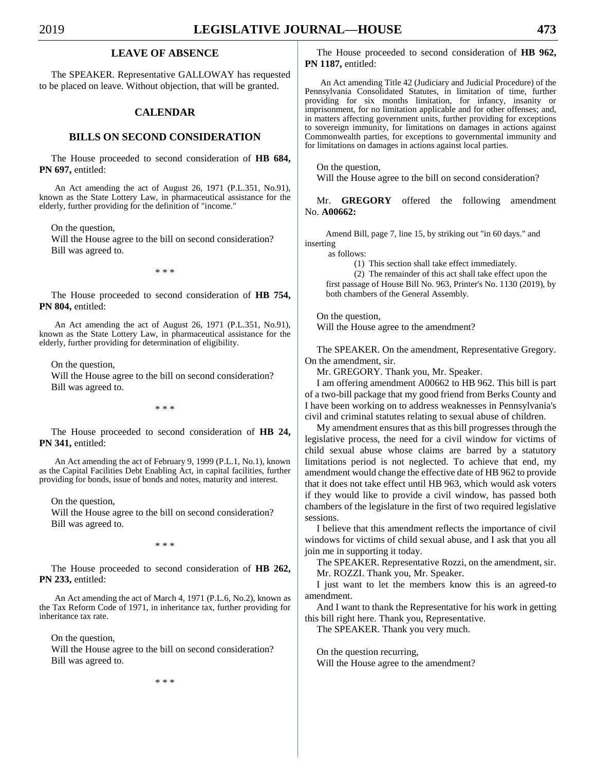## **LEAVE OF ABSENCE**

The SPEAKER. Representative GALLOWAY has requested to be placed on leave. Without objection, that will be granted.

## **CALENDAR**

## **BILLS ON SECOND CONSIDERATION**

The House proceeded to second consideration of **HB 684, PN 697,** entitled:

An Act amending the act of August 26, 1971 (P.L.351, No.91), known as the State Lottery Law, in pharmaceutical assistance for the elderly, further providing for the definition of "income."

On the question,

Will the House agree to the bill on second consideration? Bill was agreed to.

\* \* \*

The House proceeded to second consideration of **HB 754, PN 804,** entitled:

An Act amending the act of August 26, 1971 (P.L.351, No.91), known as the State Lottery Law, in pharmaceutical assistance for the elderly, further providing for determination of eligibility.

On the question,

Will the House agree to the bill on second consideration? Bill was agreed to.

\* \* \*

The House proceeded to second consideration of **HB 24, PN 341,** entitled:

An Act amending the act of February 9, 1999 (P.L.1, No.1), known as the Capital Facilities Debt Enabling Act, in capital facilities, further providing for bonds, issue of bonds and notes, maturity and interest.

On the question,

Will the House agree to the bill on second consideration? Bill was agreed to.

\* \* \*

The House proceeded to second consideration of **HB 262, PN 233,** entitled:

An Act amending the act of March 4, 1971 (P.L.6, No.2), known as the Tax Reform Code of 1971, in inheritance tax, further providing for inheritance tax rate.

On the question,

Will the House agree to the bill on second consideration? Bill was agreed to.

\* \* \*

The House proceeded to second consideration of **HB 962, PN 1187,** entitled:

An Act amending Title 42 (Judiciary and Judicial Procedure) of the Pennsylvania Consolidated Statutes, in limitation of time, further providing for six months limitation, for infancy, insanity or imprisonment, for no limitation applicable and for other offenses; and, in matters affecting government units, further providing for exceptions to sovereign immunity, for limitations on damages in actions against Commonwealth parties, for exceptions to governmental immunity and for limitations on damages in actions against local parties.

On the question,

Will the House agree to the bill on second consideration?

Mr. **GREGORY** offered the following amendment No. **A00662:**

Amend Bill, page 7, line 15, by striking out "in 60 days." and inserting

as follows:

(1) This section shall take effect immediately.

(2) The remainder of this act shall take effect upon the first passage of House Bill No. 963, Printer's No. 1130 (2019), by both chambers of the General Assembly.

On the question,

Will the House agree to the amendment?

The SPEAKER. On the amendment, Representative Gregory. On the amendment, sir.

Mr. GREGORY. Thank you, Mr. Speaker.

I am offering amendment A00662 to HB 962. This bill is part of a two-bill package that my good friend from Berks County and I have been working on to address weaknesses in Pennsylvania's civil and criminal statutes relating to sexual abuse of children.

My amendment ensures that as this bill progresses through the legislative process, the need for a civil window for victims of child sexual abuse whose claims are barred by a statutory limitations period is not neglected. To achieve that end, my amendment would change the effective date of HB 962 to provide that it does not take effect until HB 963, which would ask voters if they would like to provide a civil window, has passed both chambers of the legislature in the first of two required legislative sessions.

I believe that this amendment reflects the importance of civil windows for victims of child sexual abuse, and I ask that you all join me in supporting it today.

The SPEAKER. Representative Rozzi, on the amendment, sir. Mr. ROZZI. Thank you, Mr. Speaker.

I just want to let the members know this is an agreed-to amendment.

And I want to thank the Representative for his work in getting this bill right here. Thank you, Representative.

The SPEAKER. Thank you very much.

On the question recurring, Will the House agree to the amendment?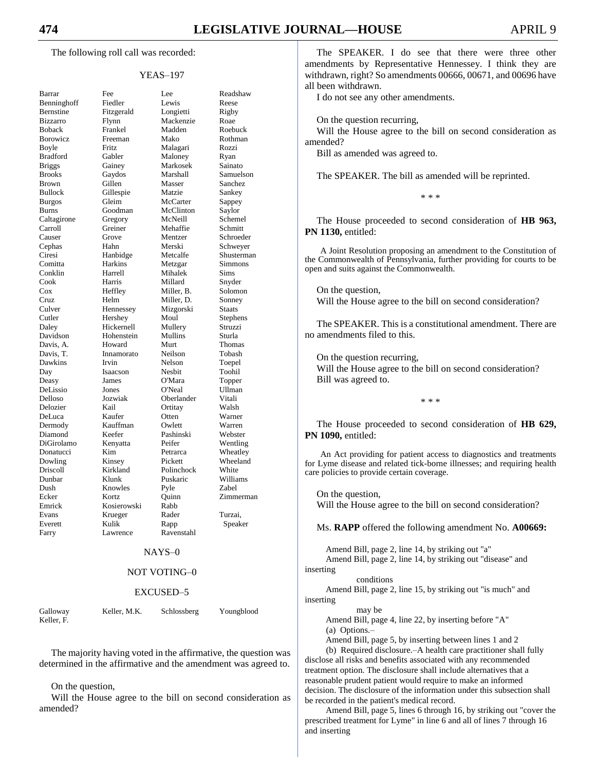The following roll call was recorded:

#### YEAS–197

| Barrar                           |
|----------------------------------|
| Benninghoff                      |
| Bernstine                        |
| Bizzarro                         |
| <b>Boback</b>                    |
| Borowicz                         |
| Boyle                            |
| <b>Bradford</b>                  |
| <b>Briggs</b>                    |
| <b>Brooks</b>                    |
| <b>Brown</b>                     |
| Bullock                          |
| <b>Burgos</b>                    |
| <b>Burns</b>                     |
| Caltagirone                      |
| Carroll                          |
| Causer                           |
|                                  |
| Cephas                           |
| Ciresi                           |
| Comitta                          |
| Conklin                          |
| Cook                             |
| $\cos$                           |
| Cruz                             |
| Culver<br>Cutler                 |
|                                  |
| Daley                            |
| Davidson                         |
| Davis, A.                        |
| Davis, T.                        |
| Dawkins                          |
| Day                              |
| Deasy                            |
| DeLissio                         |
| Delloso                          |
| Delozier                         |
| DeLuca                           |
| Dermody                          |
|                                  |
| Diamond<br>DiGirolamo            |
|                                  |
| Donatucci<br>Dowling<br>Driscoll |
|                                  |
| Dunbar                           |
| Dush                             |
| Ecker                            |
| Emrick                           |
| Evans                            |
| Everett                          |
| Farry                            |
|                                  |
|                                  |

| Barrar        | Fee         | Lee        | Readshaw         |
|---------------|-------------|------------|------------------|
| Benninghoff   | Fiedler     | Lewis      | Reese            |
| Bernstine     | Fitzgerald  | Longietti  | Rigby            |
| Bizzarro      | Flynn       | Mackenzie  | Roae             |
| Boback        | Frankel     | Madden     | Roebuck          |
| Borowicz      | Freeman     | Mako       | Rothman          |
| Boyle         | Fritz       | Malagari   | Rozzi            |
| Bradford      | Gabler      | Maloney    | Ryan             |
| <b>Briggs</b> | Gainey      | Markosek   | Sainato          |
| <b>Brooks</b> | Gaydos      | Marshall   | Samuelson        |
| <b>Brown</b>  | Gillen      | Masser     | Sanchez          |
| Bullock       | Gillespie   | Matzie     | Sankey           |
| <b>Burgos</b> | Gleim       | McCarter   | Sappey           |
| Burns         | Goodman     | McClinton  | Saylor           |
| Caltagirone   | Gregory     | McNeill    | Schemel          |
| Carroll       | Greiner     | Mehaffie   | Schmitt          |
| Causer        | Grove       | Mentzer    | Schroeder        |
| Cephas        | Hahn        | Merski     | Schwever         |
| Ciresi        | Hanbidge    | Metcalfe   | Shusterman       |
| Comitta       | Harkins     | Metzgar    | Simmons          |
| Conklin       | Harrell     | Mihalek    | Sims             |
| Cook          | Harris      | Millard    | Snyder           |
| Cox           | Heffley     | Miller, B. | Solomon          |
| Cruz          | Helm        | Miller, D. | Sonney           |
| Culver        | Hennessey   | Mizgorski  | Staats           |
| Cutler        | Hershey     | Moul       | Stephens         |
| Daley         | Hickernell  | Mullery    | Struzzi          |
| Davidson      | Hohenstein  | Mullins    | Sturla           |
| Davis, A.     | Howard      | Murt       | Thomas           |
| Davis, T.     | Innamorato  | Neilson    | Tobash           |
| Dawkins       | Irvin       | Nelson     | Toepel           |
| Day           | Isaacson    | Nesbit     | Toohil           |
| Deasy         | James       | O'Mara     |                  |
| DeLissio      | Jones       | O'Neal     | Topper<br>Ullman |
| Delloso       | Jozwiak     | Oberlander | Vitali           |
| Delozier      | Kail        | Ortitay    | Walsh            |
|               | Kaufer      | Otten      | Warner           |
| DeLuca        | Kauffman    | Owlett     |                  |
| Dermody       |             |            | Warren           |
| Diamond       | Keefer      | Pashinski  | Webster          |
| DiGirolamo    | Kenyatta    | Peifer     | Wentling         |
| Donatucci     | Kim         | Petrarca   | Wheatley         |
| Dowling       | Kinsey      | Pickett    | Wheeland         |
| Driscoll      | Kirkland    | Polinchock | White            |
| Dunbar        | Klunk       | Puskaric   | Williams         |
| Dush          | Knowles     | Pyle       | <b>Zabel</b>     |
| Ecker         | Kortz       | Ouinn      | Zimmerman        |
| Emrick        | Kosierowski | Rabb       |                  |
| Evans         | Krueger     | Rader      | Turzai,          |
| Everett       | Kulik       | Rapp       | Speaker          |
| Farry         | Lawrence    | Ravenstahl |                  |

#### NAYS–0

#### NOT VOTING–0

#### EXCUSED–5

Keller, F.

Galloway Keller, M.K. Schlossberg Youngblood

The majority having voted in the affirmative, the question was determined in the affirmative and the amendment was agreed to.

#### On the question,

Will the House agree to the bill on second consideration as amended?

The SPEAKER. I do see that there were three other amendments by Representative Hennessey. I think they are withdrawn, right? So amendments 00666, 00671, and 00696 have all been withdrawn.

I do not see any other amendments.

On the question recurring,

Will the House agree to the bill on second consideration as amended?

Bill as amended was agreed to.

The SPEAKER. The bill as amended will be reprinted.

\* \* \*

The House proceeded to second consideration of **HB 963, PN 1130,** entitled:

A Joint Resolution proposing an amendment to the Constitution of the Commonwealth of Pennsylvania, further providing for courts to be open and suits against the Commonwealth.

On the question, Will the House agree to the bill on second consideration?

The SPEAKER. This is a constitutional amendment. There are no amendments filed to this.

On the question recurring, Will the House agree to the bill on second consideration? Bill was agreed to.

\* \* \*

The House proceeded to second consideration of **HB 629, PN 1090,** entitled:

An Act providing for patient access to diagnostics and treatments for Lyme disease and related tick-borne illnesses; and requiring health care policies to provide certain coverage.

On the question, Will the House agree to the bill on second consideration?

Ms. **RAPP** offered the following amendment No. **A00669:**

Amend Bill, page 2, line 14, by striking out "a" Amend Bill, page 2, line 14, by striking out "disease" and inserting conditions Amend Bill, page 2, line 15, by striking out "is much" and

may be

Amend Bill, page 4, line 22, by inserting before "A"

(a) Options.–

inserting

Amend Bill, page 5, by inserting between lines 1 and 2

(b) Required disclosure.–A health care practitioner shall fully disclose all risks and benefits associated with any recommended treatment option. The disclosure shall include alternatives that a reasonable prudent patient would require to make an informed decision. The disclosure of the information under this subsection shall be recorded in the patient's medical record.

Amend Bill, page 5, lines 6 through 16, by striking out "cover the prescribed treatment for Lyme" in line 6 and all of lines 7 through 16 and inserting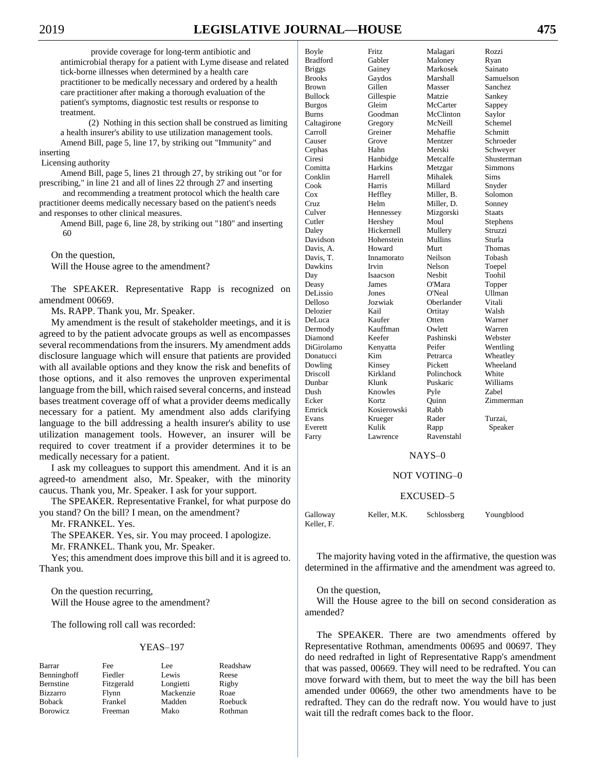provide coverage for long-term antibiotic and antimicrobial therapy for a patient with Lyme disease and related tick-borne illnesses when determined by a health care practitioner to be medically necessary and ordered by a health care practitioner after making a thorough evaluation of the patient's symptoms, diagnostic test results or response to treatment.

(2) Nothing in this section shall be construed as limiting a health insurer's ability to use utilization management tools. Amend Bill, page 5, line 17, by striking out "Immunity" and inserting

#### Licensing authority

Amend Bill, page 5, lines 21 through 27, by striking out "or for prescribing," in line 21 and all of lines 22 through 27 and inserting

and recommending a treatment protocol which the health care practitioner deems medically necessary based on the patient's needs and responses to other clinical measures.

Amend Bill, page 6, line 28, by striking out "180" and inserting 60

On the question,

Will the House agree to the amendment?

The SPEAKER. Representative Rapp is recognized on amendment 00669.

Ms. RAPP. Thank you, Mr. Speaker.

My amendment is the result of stakeholder meetings, and it is agreed to by the patient advocate groups as well as encompasses several recommendations from the insurers. My amendment adds disclosure language which will ensure that patients are provided with all available options and they know the risk and benefits of those options, and it also removes the unproven experimental language from the bill, which raised several concerns, and instead bases treatment coverage off of what a provider deems medically necessary for a patient. My amendment also adds clarifying language to the bill addressing a health insurer's ability to use utilization management tools. However, an insurer will be required to cover treatment if a provider determines it to be medically necessary for a patient.

I ask my colleagues to support this amendment. And it is an agreed-to amendment also, Mr. Speaker, with the minority caucus. Thank you, Mr. Speaker. I ask for your support.

The SPEAKER. Representative Frankel, for what purpose do you stand? On the bill? I mean, on the amendment?

Mr. FRANKEL. Yes.

The SPEAKER. Yes, sir. You may proceed. I apologize.

Mr. FRANKEL. Thank you, Mr. Speaker.

Yes; this amendment does improve this bill and it is agreed to. Thank you.

On the question recurring, Will the House agree to the amendment?

The following roll call was recorded:

#### YEAS–197

Benninghoff Fiedler Lewis Reese<br>Bernstine Fitzgerald Longietti Rigby Bizzarro Flynn Mackenzie Roae Boback Frankel Madden Roebuck Borowicz Freeman Mako Rothman

Fitzgerald

Barrar Fee Lee Readshaw

| Boyle          | Fritz       | Malagari   | Rozzi      |
|----------------|-------------|------------|------------|
| Bradford       | Gabler      | Maloney    | Ryan       |
| <b>Briggs</b>  | Gainey      | Markosek   | Sainato    |
| <b>Brooks</b>  | Gaydos      | Marshall   | Samuelson  |
| <b>Brown</b>   | Gillen      | Masser     | Sanchez    |
| <b>Bullock</b> | Gillespie   | Matzie     | Sankey     |
| <b>Burgos</b>  | Gleim       | McCarter   | Sappey     |
| Burns          | Goodman     | McClinton  | Saylor     |
| Caltagirone    | Gregory     | McNeill    | Schemel    |
| Carroll        | Greiner     | Mehaffie   | Schmitt    |
| Causer         | Grove       | Mentzer    | Schroeder  |
| Cephas         | Hahn        | Merski     | Schweyer   |
| Ciresi         | Hanbidge    | Metcalfe   | Shusterman |
| Comitta        | Harkins     | Metzgar    | Simmons    |
| Conklin        | Harrell     | Mihalek    | Sims       |
| Cook           | Harris      | Millard    | Snyder     |
| $\cos$         | Heffley     | Miller, B. | Solomon    |
| Cruz           | Helm        | Miller, D. | Sonney     |
| Culver         | Hennessey   | Mizgorski  | Staats     |
| Cutler         | Hershey     | Moul       | Stephens   |
| Daley          | Hickernell  | Mullery    | Struzzi    |
| Davidson       | Hohenstein  | Mullins    | Sturla     |
| Davis, A.      | Howard      | Murt       | Thomas     |
| Davis, T.      | Innamorato  | Neilson    | Tobash     |
| Dawkins        | Irvin       | Nelson     | Toepel     |
| Day            | Isaacson    | Nesbit     | Toohil     |
| Deasy          | James       | O'Mara     | Topper     |
| DeLissio       | Jones       | O'Neal     | Ullman     |
| Delloso        | Jozwiak     | Oberlander | Vitali     |
| Delozier       | Kail        | Ortitay    | Walsh      |
| DeLuca         | Kaufer      | Otten      | Warner     |
| Dermody        | Kauffman    | Owlett     | Warren     |
| Diamond        | Keefer      | Pashinski  | Webster    |
| DiGirolamo     | Kenyatta    | Peifer     | Wentling   |
| Donatucci      | Kim         | Petrarca   | Wheatley   |
| Dowling        | Kinsey      | Pickett    | Wheeland   |
| Driscoll       | Kirkland    | Polinchock | White      |
| Dunbar         | Klunk       | Puskaric   | Williams   |
| Dush           | Knowles     | Pyle       | Zabel      |
| Ecker          | Kortz       | Ouinn      | Zimmerman  |
| Emrick         | Kosierowski | Rabb       |            |
| Evans          | Krueger     | Rader      | Turzai,    |
| Everett        | Kulik       | Rapp       | Speaker    |
| Farry          | Lawrence    | Ravenstahl |            |
|                |             |            |            |

#### NAYS–0

#### NOT VOTING–0

#### EXCUSED–5

Galloway Keller, M.K. Schlossberg Youngblood Keller, F.

The majority having voted in the affirmative, the question was determined in the affirmative and the amendment was agreed to.

#### On the question,

Will the House agree to the bill on second consideration as amended?

The SPEAKER. There are two amendments offered by Representative Rothman, amendments 00695 and 00697. They do need redrafted in light of Representative Rapp's amendment that was passed, 00669. They will need to be redrafted. You can move forward with them, but to meet the way the bill has been amended under 00669, the other two amendments have to be redrafted. They can do the redraft now. You would have to just wait till the redraft comes back to the floor.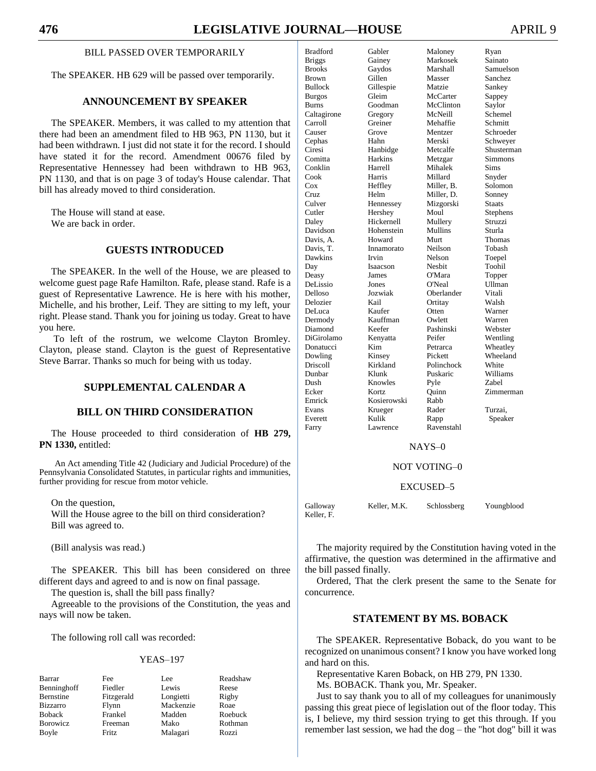## BILL PASSED OVER TEMPORARILY

The SPEAKER. HB 629 will be passed over temporarily.

## **ANNOUNCEMENT BY SPEAKER**

The SPEAKER. Members, it was called to my attention that there had been an amendment filed to HB 963, PN 1130, but it had been withdrawn. I just did not state it for the record. I should have stated it for the record. Amendment 00676 filed by Representative Hennessey had been withdrawn to HB 963, PN 1130, and that is on page 3 of today's House calendar. That bill has already moved to third consideration.

The House will stand at ease. We are back in order.

## **GUESTS INTRODUCED**

The SPEAKER. In the well of the House, we are pleased to welcome guest page Rafe Hamilton. Rafe, please stand. Rafe is a guest of Representative Lawrence. He is here with his mother, Michelle, and his brother, Leif. They are sitting to my left, your right. Please stand. Thank you for joining us today. Great to have you here.

To left of the rostrum, we welcome Clayton Bromley. Clayton, please stand. Clayton is the guest of Representative Steve Barrar. Thanks so much for being with us today.

## **SUPPLEMENTAL CALENDAR A**

## **BILL ON THIRD CONSIDERATION**

The House proceeded to third consideration of **HB 279, PN 1330,** entitled:

An Act amending Title 42 (Judiciary and Judicial Procedure) of the Pennsylvania Consolidated Statutes, in particular rights and immunities, further providing for rescue from motor vehicle.

On the question,

Will the House agree to the bill on third consideration? Bill was agreed to.

(Bill analysis was read.)

The SPEAKER. This bill has been considered on three different days and agreed to and is now on final passage.

The question is, shall the bill pass finally?

Agreeable to the provisions of the Constitution, the yeas and nays will now be taken.

The following roll call was recorded:

#### YEAS–197

| Barrar          | Fee        | Lee       | Readshaw |
|-----------------|------------|-----------|----------|
| Benninghoff     | Fiedler    | Lewis     | Reese    |
| Bernstine       | Fitzgerald | Longietti | Rigby    |
| <b>Bizzarro</b> | Flynn      | Mackenzie | Roae     |
| <b>Boback</b>   | Frankel    | Madden    | Roebuck  |
| <b>Borowicz</b> | Freeman    | Mako      | Rothman  |
| Boyle           | Fritz      | Malagari  | Rozzi    |

| <b>Bradford</b> | Gabler      | Maloney    | Ryan          |
|-----------------|-------------|------------|---------------|
| <b>Briggs</b>   | Gainey      | Markosek   | Sainato       |
| <b>Brooks</b>   | Gaydos      | Marshall   | Samuelson     |
| Brown           | Gillen      | Masser     | Sanchez       |
| <b>Bullock</b>  | Gillespie   | Matzie     | Sankey        |
| <b>Burgos</b>   | Gleim       | McCarter   | Sappey        |
| <b>Burns</b>    | Goodman     | McClinton  | Saylor        |
| Caltagirone     | Gregory     | McNeill    | Schemel       |
| Carroll         | Greiner     | Mehaffie   | Schmitt       |
| Causer          | Grove       | Mentzer    | Schroeder     |
| Cephas          | Hahn        | Merski     | Schweyer      |
| Ciresi          | Hanbidge    | Metcalfe   | Shusterman    |
| Comitta         | Harkins     | Metzgar    | Simmons       |
| Conklin         | Harrell     | Mihalek    | Sims          |
| Cook            | Harris      | Millard    | Snyder        |
| Cox             | Heffley     | Miller. B. | Solomon       |
| Cruz            | Helm        | Miller, D. | Sonney        |
| Culver          | Hennessey   | Mizgorski  | <b>Staats</b> |
| Cutler          | Hershey     | Moul       | Stephens      |
| Daley           | Hickernell  | Mullery    | Struzzi       |
| Davidson        | Hohenstein  | Mullins    | Sturla        |
| Davis, A.       | Howard      | Murt       | Thomas        |
| Davis. T.       | Innamorato  | Neilson    | Tobash        |
| Dawkins         | Irvin       | Nelson     | Toepel        |
| Day             | Isaacson    | Nesbit     | Toohil        |
| Deasy           | James       | O'Mara     | Topper        |
| DeLissio        | Jones       | O'Neal     | Ullman        |
| Delloso         | Jozwiak     | Oberlander | Vitali        |
| Delozier        | Kail        | Ortitay    | Walsh         |
| DeLuca          | Kaufer      | Otten      | Warner        |
| Dermody         | Kauffman    | Owlett     | Warren        |
| Diamond         | Keefer      | Pashinski  | Webster       |
| DiGirolamo      | Kenyatta    | Peifer     | Wentling      |
| Donatucci       | Kim         | Petrarca   | Wheatley      |
| Dowling         | Kinsey      | Pickett    | Wheeland      |
| <b>Driscoll</b> | Kirkland    | Polinchock | White         |
| Dunbar          | Klunk       | Puskaric   | Williams      |
| Dush            | Knowles     | Pyle       | Zabel         |
| Ecker           | Kortz       | Quinn      | Zimmerman     |
| Emrick          | Kosierowski | Rabb       |               |
| Evans           | Krueger     | Rader      | Turzai.       |
| Everett         | Kulik       | Rapp       | Speaker       |
| Farry           | Lawrence    | Ravenstahl |               |

#### NAYS–0

#### NOT VOTING–0

#### EXCUSED–5

Galloway Keller, M.K. Schlossberg Youngblood Keller, F.

The majority required by the Constitution having voted in the affirmative, the question was determined in the affirmative and the bill passed finally.

Ordered, That the clerk present the same to the Senate for concurrence.

## **STATEMENT BY MS. BOBACK**

The SPEAKER. Representative Boback, do you want to be recognized on unanimous consent? I know you have worked long and hard on this.

Representative Karen Boback, on HB 279, PN 1330.

Ms. BOBACK. Thank you, Mr. Speaker.

Just to say thank you to all of my colleagues for unanimously passing this great piece of legislation out of the floor today. This is, I believe, my third session trying to get this through. If you remember last session, we had the dog – the "hot dog" bill it was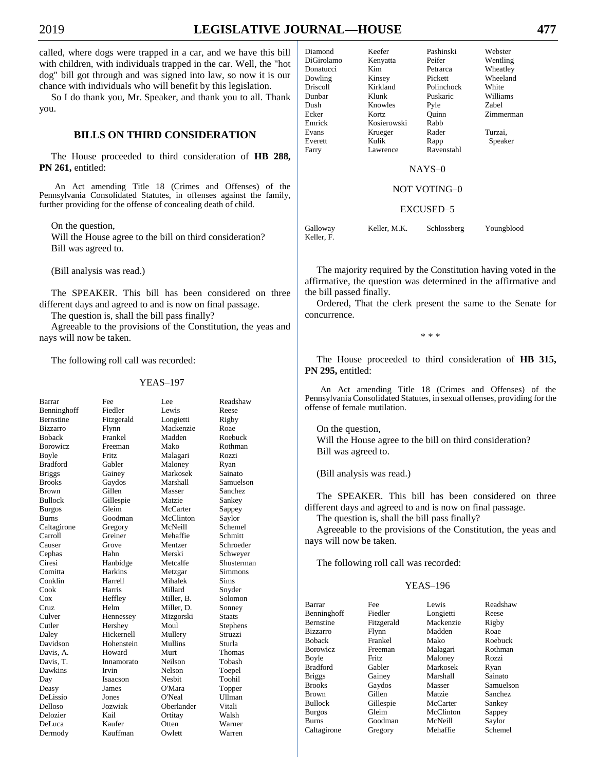called, where dogs were trapped in a car, and we have this bill with children, with individuals trapped in the car. Well, the "hot dog" bill got through and was signed into law, so now it is our chance with individuals who will benefit by this legislation.

So I do thank you, Mr. Speaker, and thank you to all. Thank you.

## **BILLS ON THIRD CONSIDERATION**

The House proceeded to third consideration of **HB 288, PN 261,** entitled:

An Act amending Title 18 (Crimes and Offenses) of the Pennsylvania Consolidated Statutes, in offenses against the family, further providing for the offense of concealing death of child.

On the question,

Will the House agree to the bill on third consideration? Bill was agreed to.

(Bill analysis was read.)

The SPEAKER. This bill has been considered on three different days and agreed to and is now on final passage.

The question is, shall the bill pass finally?

Agreeable to the provisions of the Constitution, the yeas and nays will now be taken.

The following roll call was recorded:

#### YEAS–197

| Barrar           | Fee          | Lee           | Readshaw       |
|------------------|--------------|---------------|----------------|
| Benninghoff      | Fiedler      | Lewis         | Reese          |
| <b>Bernstine</b> | Fitzgerald   | Longietti     | Rigby          |
| <b>Bizzarro</b>  | Flynn        | Mackenzie     | Roae           |
| <b>Boback</b>    | Frankel      | Madden        | Roebuck        |
| <b>Borowicz</b>  | Freeman      | Mako          | Rothman        |
| Boyle            | <b>Fritz</b> | Malagari      | Rozzi          |
| <b>Bradford</b>  | Gabler       | Maloney       | Ryan           |
| <b>Briggs</b>    | Gainey       | Markosek      | Sainato        |
| <b>Brooks</b>    | Gaydos       | Marshall      | Samuelson      |
| <b>Brown</b>     | Gillen       | Masser        | Sanchez        |
| <b>Bullock</b>   | Gillespie    | Matzie        | Sankey         |
| <b>Burgos</b>    | Gleim        | McCarter      | Sappey         |
| <b>Burns</b>     | Goodman      | McClinton     | Saylor         |
| Caltagirone      | Gregory      | McNeill       | Schemel        |
| Carroll          | Greiner      | Mehaffie      | Schmitt        |
| Causer           | Grove        | Mentzer       | Schroeder      |
| Cephas           | Hahn         | Merski        | Schwever       |
| Ciresi           | Hanbidge     | Metcalfe      | Shusterman     |
| Comitta          | Harkins      | Metzgar       | <b>Simmons</b> |
| Conklin          | Harrell      | Mihalek       | Sims           |
| Cook             | Harris       | Millard       | Snyder         |
| Cox              | Heffley      | Miller. B.    | Solomon        |
| Cruz             | Helm         | Miller, D.    | Sonney         |
| Culver           | Hennessey    | Mizgorski     | Staats         |
| Cutler           | Hershey      | Moul          | Stephens       |
| Daley            | Hickernell   | Mullery       | Struzzi        |
| Davidson         | Hohenstein   | Mullins       | Sturla         |
| Davis. A.        | Howard       | Murt          | Thomas         |
| Davis, T.        | Innamorato   | Neilson       | Tobash         |
| Dawkins          | Irvin        | Nelson        | Toepel         |
| Day              | Isaacson     | <b>Nesbit</b> | Toohil         |
| Deasy            | James        | O'Mara        | Topper         |
| DeLissio         | Jones        | O'Neal        | Ullman         |
| Delloso          | Jozwiak      | Oberlander    | Vitali         |
| Delozier         | Kail         | Ortitay       | Walsh          |
| DeLuca           | Kaufer       | Otten         | Warner         |

Dermody Kauffman Owlett Warren

| Diamond    | Keefer      | Pashinski  | Webster  |
|------------|-------------|------------|----------|
| DiGirolamo | Kenyatta    | Peifer     | Wentling |
| Donatucci  | Kim         | Petrarca   | Wheatley |
| Dowling    | Kinsey      | Pickett    | Wheeland |
| Driscoll   | Kirkland    | Polinchock | White    |
| Dunbar     | Klunk       | Puskaric   | Williams |
| Dush       | Knowles     | Pyle       | Zabel    |
| Ecker      | Kortz       | Ouinn      | Zimmerm  |
| Emrick     | Kosierowski | Rabb       |          |
| Evans      | Krueger     | Rader      | Turzai,  |
| Everett    | Kulik       | Rapp       | Speaker  |
| Farry      | Lawrence    | Ravenstahl |          |
|            |             |            |          |

kett Wheeland <u>linchock</u> White<br>skaric Williams inn Zimmerman pp Speaker venstahl

#### NAYS–0

#### NOT VOTING–0

#### EXCUSED–5

Galloway Keller, M.K. Schlossberg Youngblood Keller, F.

The majority required by the Constitution having voted in the affirmative, the question was determined in the affirmative and the bill passed finally.

Ordered, That the clerk present the same to the Senate for concurrence.

\* \* \*

The House proceeded to third consideration of **HB 315, PN 295,** entitled:

An Act amending Title 18 (Crimes and Offenses) of the Pennsylvania Consolidated Statutes, in sexual offenses, providing for the offense of female mutilation.

On the question, Will the House agree to the bill on third consideration? Bill was agreed to.

(Bill analysis was read.)

The SPEAKER. This bill has been considered on three different days and agreed to and is now on final passage.

The question is, shall the bill pass finally?

Agreeable to the provisions of the Constitution, the yeas and nays will now be taken.

The following roll call was recorded:

#### YEAS–196

| Barrar           | Fee          | Lewis     | Readshaw       |
|------------------|--------------|-----------|----------------|
| Benninghoff      | Fiedler      | Longietti | Reese          |
| <b>Bernstine</b> | Fitzgerald   | Mackenzie | Rigby          |
| <b>Bizzarro</b>  | Flynn        | Madden    | Roae           |
| <b>Boback</b>    | Frankel      | Mako      | Roebuck        |
| <b>B</b> orowicz | Freeman      | Malagari  | Rothman        |
| Boyle            | <b>Fritz</b> | Maloney   | Rozzi          |
| <b>Bradford</b>  | Gabler       | Markosek  | Ryan           |
| <b>Briggs</b>    | Gainey       | Marshall  | Sainato        |
| <b>Brooks</b>    | Gaydos       | Masser    | Samuelson      |
| <b>Brown</b>     | Gillen       | Matzie    | <b>Sanchez</b> |
| <b>Bullock</b>   | Gillespie    | McCarter  | Sankey         |
| <b>Burgos</b>    | Gleim        | McClinton | Sappey         |
| <b>Burns</b>     | Goodman      | McNeill   | Saylor         |
| Caltagirone      | Gregory      | Mehaffie  | Schemel        |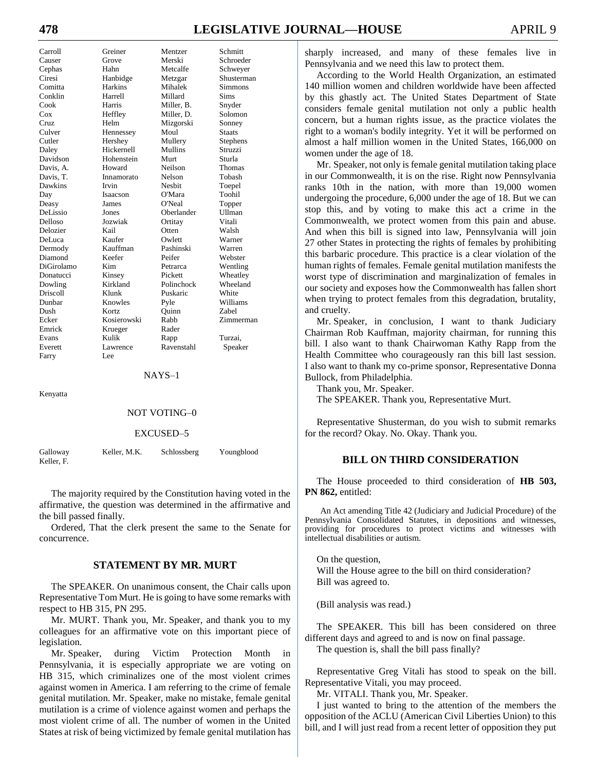# **478 LEGISLATIVE JOURNAL—HOUSE** APRIL 9

| Carroll         | Greiner     | Mentzer    | Schmitt        |
|-----------------|-------------|------------|----------------|
| Causer          | Grove       | Merski     | Schroeder      |
| Cephas          | Hahn        | Metcalfe   | Schweyer       |
| Ciresi          | Hanbidge    | Metzgar    | Shusterman     |
| Comitta         | Harkins     | Mihalek    | <b>Simmons</b> |
| Conklin         | Harrell     | Millard    | Sims           |
| Cook            | Harris      | Miller, B. | Snyder         |
| Cox             | Heffley     | Miller, D. | Solomon        |
| C <sub>r</sub>  | Helm        | Mizgorski  | Sonney         |
| Culver          | Hennessey   | Moul       | <b>Staats</b>  |
| Cutler          | Hershey     | Mullery    | Stephens       |
| Daley           | Hickernell  | Mullins    | Struzzi        |
| Davidson        | Hohenstein  | Murt       | Sturla         |
| Davis, A.       | Howard      | Neilson    | Thomas         |
| Davis, T.       | Innamorato  | Nelson     | Tobash         |
| Dawkins         | Irvin       | Neshit     | Toepel         |
| Day             | Isaacson    | O'Mara     | Toohil         |
| Deasy           | James       | O'Neal     | Topper         |
| DeLissio        | Jones       | Oberlander | <b>Ullman</b>  |
| Delloso         | Jozwiak     | Ortitay    | Vitali         |
| Delozier        | Kail        | Otten      | Walsh          |
| DeLuca          | Kaufer      | Owlett     | Warner         |
| Dermody         | Kauffman    | Pashinski  | Warren         |
| Diamond         | Keefer      | Peifer     | Webster        |
| DiGirolamo      | Kim         | Petrarca   | Wentling       |
| Donatucci       | Kinsey      | Pickett    | Wheatley       |
| Dowling         | Kirkland    | Polinchock | Wheeland       |
| <b>Driscoll</b> | Klunk       | Puskaric   | White          |
| Dunbar          | Knowles     | Pyle       | Williams       |
| Dush            | Kortz       | Ouinn      | <b>Zabel</b>   |
| Ecker           | Kosierowski | Rabb       | Zimmerman      |
| Emrick          | Krueger     | Rader      |                |
| Evans           | Kulik       | Rapp       | Turzai.        |
| Everett         | Lawrence    | Ravenstahl | Speaker        |
| Farry           | Lee         |            |                |

NAYS–1

Kenyatta

#### NOT VOTING–0

#### EXCUSED–5

| Galloway   | Keller, M.K. | Schlossberg | Youngblood |
|------------|--------------|-------------|------------|
| Keller, F. |              |             |            |

The majority required by the Constitution having voted in the affirmative, the question was determined in the affirmative and the bill passed finally.

Ordered, That the clerk present the same to the Senate for concurrence.

#### **STATEMENT BY MR. MURT**

The SPEAKER. On unanimous consent, the Chair calls upon Representative Tom Murt. He is going to have some remarks with respect to HB 315, PN 295.

Mr. MURT. Thank you, Mr. Speaker, and thank you to my colleagues for an affirmative vote on this important piece of legislation.

Mr. Speaker, during Victim Protection Month in Pennsylvania, it is especially appropriate we are voting on HB 315, which criminalizes one of the most violent crimes against women in America. I am referring to the crime of female genital mutilation. Mr. Speaker, make no mistake, female genital mutilation is a crime of violence against women and perhaps the most violent crime of all. The number of women in the United States at risk of being victimized by female genital mutilation has

sharply increased, and many of these females live in Pennsylvania and we need this law to protect them.

According to the World Health Organization, an estimated 140 million women and children worldwide have been affected by this ghastly act. The United States Department of State considers female genital mutilation not only a public health concern, but a human rights issue, as the practice violates the right to a woman's bodily integrity. Yet it will be performed on almost a half million women in the United States, 166,000 on women under the age of 18.

Mr. Speaker, not only is female genital mutilation taking place in our Commonwealth, it is on the rise. Right now Pennsylvania ranks 10th in the nation, with more than 19,000 women undergoing the procedure, 6,000 under the age of 18. But we can stop this, and by voting to make this act a crime in the Commonwealth, we protect women from this pain and abuse. And when this bill is signed into law, Pennsylvania will join 27 other States in protecting the rights of females by prohibiting this barbaric procedure. This practice is a clear violation of the human rights of females. Female genital mutilation manifests the worst type of discrimination and marginalization of females in our society and exposes how the Commonwealth has fallen short when trying to protect females from this degradation, brutality, and cruelty.

Mr. Speaker, in conclusion, I want to thank Judiciary Chairman Rob Kauffman, majority chairman, for running this bill. I also want to thank Chairwoman Kathy Rapp from the Health Committee who courageously ran this bill last session. I also want to thank my co-prime sponsor, Representative Donna Bullock, from Philadelphia.

Thank you, Mr. Speaker.

The SPEAKER. Thank you, Representative Murt.

Representative Shusterman, do you wish to submit remarks for the record? Okay. No. Okay. Thank you.

#### **BILL ON THIRD CONSIDERATION**

The House proceeded to third consideration of **HB 503, PN 862,** entitled:

An Act amending Title 42 (Judiciary and Judicial Procedure) of the Pennsylvania Consolidated Statutes, in depositions and witnesses, providing for procedures to protect victims and witnesses with intellectual disabilities or autism.

On the question, Will the House agree to the bill on third consideration? Bill was agreed to.

(Bill analysis was read.)

The SPEAKER. This bill has been considered on three different days and agreed to and is now on final passage.

The question is, shall the bill pass finally?

Representative Greg Vitali has stood to speak on the bill. Representative Vitali, you may proceed.

Mr. VITALI. Thank you, Mr. Speaker.

I just wanted to bring to the attention of the members the opposition of the ACLU (American Civil Liberties Union) to this bill, and I will just read from a recent letter of opposition they put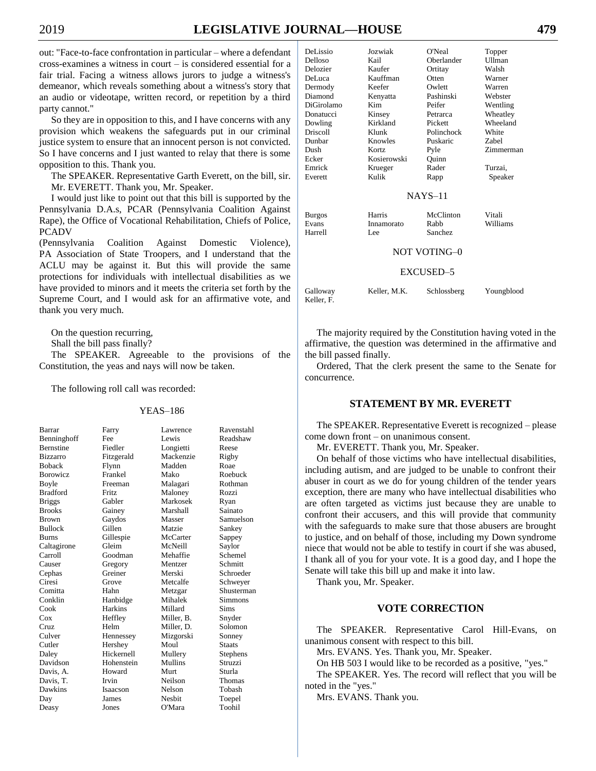out: "Face-to-face confrontation in particular – where a defendant cross-examines a witness in court – is considered essential for a fair trial. Facing a witness allows jurors to judge a witness's demeanor, which reveals something about a witness's story that an audio or videotape, written record, or repetition by a third party cannot."

So they are in opposition to this, and I have concerns with any provision which weakens the safeguards put in our criminal justice system to ensure that an innocent person is not convicted. So I have concerns and I just wanted to relay that there is some opposition to this. Thank you.

The SPEAKER. Representative Garth Everett, on the bill, sir. Mr. EVERETT. Thank you, Mr. Speaker.

I would just like to point out that this bill is supported by the Pennsylvania D.A.s, PCAR (Pennsylvania Coalition Against Rape), the Office of Vocational Rehabilitation, Chiefs of Police, PCADV

(Pennsylvania Coalition Against Domestic Violence), PA Association of State Troopers, and I understand that the ACLU may be against it. But this will provide the same protections for individuals with intellectual disabilities as we have provided to minors and it meets the criteria set forth by the Supreme Court, and I would ask for an affirmative vote, and thank you very much.

On the question recurring,

Shall the bill pass finally?

The SPEAKER. Agreeable to the provisions of the Constitution, the yeas and nays will now be taken.

The following roll call was recorded:

#### YEAS–186

| Barrar           | Farry          | Lawrence   | Ravenstahl    |
|------------------|----------------|------------|---------------|
| Benninghoff      | Fee            | Lewis      | Readshaw      |
| <b>Bernstine</b> | Fiedler        | Longietti  | Reese         |
| <b>Bizzarro</b>  | Fitzgerald     | Mackenzie  | Rigby         |
| <b>Boback</b>    | Flynn          | Madden     | Roae          |
| <b>Borowicz</b>  | Frankel        | Mako       | Roebuck       |
| Boyle            | Freeman        | Malagari   | Rothman       |
| <b>Bradford</b>  | <b>Fritz</b>   | Maloney    | Rozzi         |
| <b>Briggs</b>    | Gabler         | Markosek   | Ryan          |
| <b>Brooks</b>    | Gainey         | Marshall   | Sainato       |
| <b>Brown</b>     | Gaydos         | Masser     | Samuelson     |
| <b>Bullock</b>   | Gillen         | Matzie     | Sankey        |
| Burns            | Gillespie      | McCarter   | Sappey        |
| Caltagirone      | Gleim          | McNeill    | Saylor        |
| Carroll          | Goodman        | Mehaffie   | Schemel       |
| Causer           | Gregory        | Mentzer    | Schmitt       |
| Cephas           | Greiner        | Merski     | Schroeder     |
| Ciresi           | Grove          | Metcalfe   | Schweyer      |
| Comitta          | Hahn           | Metzgar    | Shusterman    |
| Conklin          | Hanbidge       | Mihalek    | Simmons       |
| Cook             | <b>Harkins</b> | Millard    | Sims          |
| Cox              | Heffley        | Miller, B. | Snyder        |
| Cruz             | Helm           | Miller, D. | Solomon       |
| Culver           | Hennessey      | Mizgorski  | Sonney        |
| Cutler           | Hershey        | Moul       | <b>Staats</b> |
| Daley            | Hickernell     | Mullery    | Stephens      |
| Davidson         | Hohenstein     | Mullins    | Struzzi       |
| Davis, A.        | Howard         | Murt       | Sturla        |
| Davis, T.        | Irvin          | Neilson    | Thomas        |
| Dawkins          | Isaacson       | Nelson     | Tobash        |
| Day              | James          | Nesbit     | Toepel        |
| Deasy            | Jones          | O'Mara     | Toohil        |

|   | DeLissio        | Jozwiak     | O'Neal         | Topper    |
|---|-----------------|-------------|----------------|-----------|
|   | Delloso         | Kail        | Oberlander     | Ullman    |
| ì | Delozier        | Kaufer      | Ortitay        | Walsh     |
| ì | DeLuca          | Kauffman    | Otten          | Warner    |
|   | Dermody         | Keefer      | Owlett         | Warren    |
|   | Diamond         | Kenyatta    | Pashinski      | Webster   |
|   | DiGirolamo      | Kim         | Peifer         | Wentling  |
|   | Donatucci       | Kinsey      | Petrarca       | Wheatley  |
|   | Dowling         | Kirkland    | Pickett        | Wheeland  |
|   | <b>Driscoll</b> | Klunk       | Polinchock     | White     |
|   | Dunbar          | Knowles     | Puskaric       | Zabel     |
|   | Dush            | Kortz       | Pyle           | Zimmerman |
|   | Ecker           | Kosierowski | Ouinn          |           |
|   | Emrick          | Krueger     | Rader          | Turzai,   |
|   | Everett         | Kulik       | Rapp           | Speaker   |
|   |                 |             | $NAYS-11$      |           |
|   |                 |             |                |           |
|   | <b>Burgos</b>   | Harris      | McClinton      | Vitali    |
|   | Evans           | Innamorato  | Rabb           | Williams  |
|   | Harrell         | Lee.        | <b>Sanchez</b> |           |

#### NOT VOTING–0

### EXCUSED–5

| Galloway   | Keller, M.K. | Schlossberg | Youngblood |
|------------|--------------|-------------|------------|
| Keller, F. |              |             |            |

The majority required by the Constitution having voted in the affirmative, the question was determined in the affirmative and the bill passed finally.

Ordered, That the clerk present the same to the Senate for concurrence.

## **STATEMENT BY MR. EVERETT**

The SPEAKER. Representative Everett is recognized – please come down front – on unanimous consent.

Mr. EVERETT. Thank you, Mr. Speaker.

On behalf of those victims who have intellectual disabilities, including autism, and are judged to be unable to confront their abuser in court as we do for young children of the tender years exception, there are many who have intellectual disabilities who are often targeted as victims just because they are unable to confront their accusers, and this will provide that community with the safeguards to make sure that those abusers are brought to justice, and on behalf of those, including my Down syndrome niece that would not be able to testify in court if she was abused, I thank all of you for your vote. It is a good day, and I hope the Senate will take this bill up and make it into law.

Thank you, Mr. Speaker.

## **VOTE CORRECTION**

The SPEAKER. Representative Carol Hill-Evans, on unanimous consent with respect to this bill.

Mrs. EVANS. Yes. Thank you, Mr. Speaker.

On HB 503 I would like to be recorded as a positive, "yes."

The SPEAKER. Yes. The record will reflect that you will be noted in the "yes."

Mrs. EVANS. Thank you.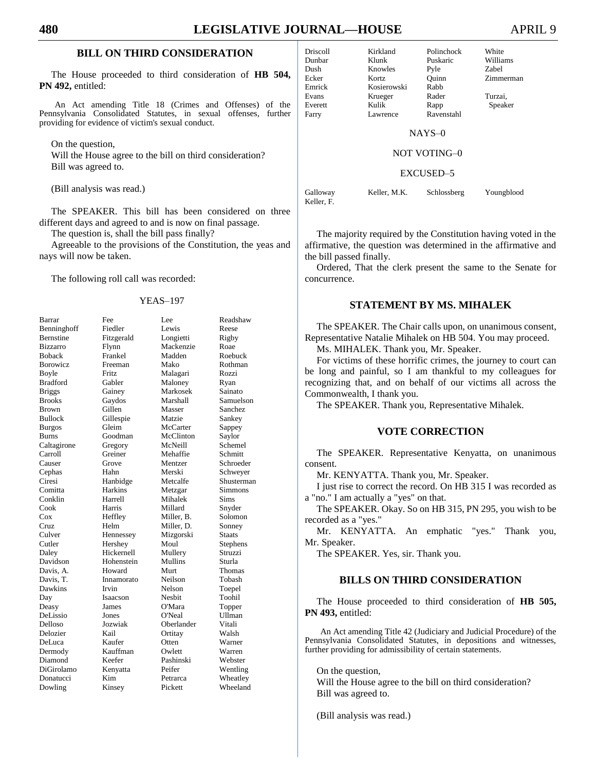## **BILL ON THIRD CONSIDERATION**

The House proceeded to third consideration of **HB 504, PN 492,** entitled:

An Act amending Title 18 (Crimes and Offenses) of the Pennsylvania Consolidated Statutes, in sexual offenses, further providing for evidence of victim's sexual conduct.

On the question,

Will the House agree to the bill on third consideration? Bill was agreed to.

(Bill analysis was read.)

The SPEAKER. This bill has been considered on three different days and agreed to and is now on final passage.

The question is, shall the bill pass finally?

Agreeable to the provisions of the Constitution, the yeas and nays will now be taken.

The following roll call was recorded:

#### YEAS–197

| Barrar           | Fee          | Lee        | Readshaw   |
|------------------|--------------|------------|------------|
| Benninghoff      | Fiedler      | Lewis      | Reese      |
| <b>Bernstine</b> | Fitzgerald   | Longietti  | Rigby      |
| <b>Bizzarro</b>  | Flynn        | Mackenzie  | Roae       |
| <b>Boback</b>    | Frankel      | Madden     | Roebuck    |
| Borowicz         | Freeman      | Mako       | Rothman    |
| Boyle            | <b>Fritz</b> | Malagari   | Rozzi      |
| <b>Bradford</b>  | Gabler       | Maloney    | Ryan       |
| <b>Briggs</b>    | Gainey       | Markosek   | Sainato    |
| <b>Brooks</b>    | Gaydos       | Marshall   | Samuelson  |
| <b>Brown</b>     | Gillen       | Masser     | Sanchez    |
| Bullock          | Gillespie    | Matzie     | Sankey     |
| Burgos           | Gleim        | McCarter   | Sappey     |
| Burns            | Goodman      | McClinton  | Saylor     |
| Caltagirone      | Gregory      | McNeill    | Schemel    |
| Carroll          | Greiner      | Mehaffie   | Schmitt    |
| Causer           | Grove        | Mentzer    | Schroeder  |
| Cephas           | Hahn         | Merski     | Schweyer   |
| Ciresi           | Hanbidge     | Metcalfe   | Shusterman |
| Comitta          | Harkins      | Metzgar    | Simmons    |
| Conklin          | Harrell      | Mihalek    | Sims       |
| Cook             | Harris       | Millard    | Snyder     |
| Cox              | Heffley      | Miller. B. | Solomon    |
| Cruz             | Helm         | Miller, D. | Sonney     |
| Culver           | Hennessey    | Mizgorski  | Staats     |
| Cutler           | Hershey      | Moul       | Stephens   |
| Daley            | Hickernell   | Mullery    | Struzzi    |
| Davidson         | Hohenstein   | Mullins    | Sturla     |
| Davis, A.        | Howard       | Murt       | Thomas     |
| Davis. T.        | Innamorato   | Neilson    | Tobash     |
| Dawkins          | Irvin        | Nelson     | Toepel     |
| Day              | Isaacson     | Nesbit     | Toohil     |
| Deasy            | James        | O'Mara     | Topper     |
| DeLissio         | Jones        | O'Neal     | Ullman     |
| Delloso          | Jozwiak      | Oberlander | Vitali     |
| Delozier         | Kail         | Ortitay    | Walsh      |
| DeLuca           | Kaufer       | Otten      | Warner     |
| Dermody          | Kauffman     | Owlett     | Warren     |
| Diamond          | Keefer       | Pashinski  | Webster    |
| DiGirolamo       | Kenyatta     | Peifer     | Wentling   |
| Donatucci        | Kim          | Petrarca   | Wheatley   |
| Dowling          | Kinsey       | Pickett    | Wheeland   |

Driscoll Kirkland Polinchock White Dunbar Klunk Puskaric Williams

Dush Knowles Pyle Zabel Ecker Kortz Quinn Zimmerman Emrick Kosierowski Rabb Evans Krueger Rader Turzai, Everett Kulik Rapp Speaker Farry Lawrence Ravenstahl

NAYS–0

#### NOT VOTING–0

EXCUSED–5

Galloway Keller, M.K. Schlossberg Youngblood Keller, F.

The majority required by the Constitution having voted in the affirmative, the question was determined in the affirmative and the bill passed finally.

Ordered, That the clerk present the same to the Senate for concurrence.

## **STATEMENT BY MS. MIHALEK**

The SPEAKER. The Chair calls upon, on unanimous consent, Representative Natalie Mihalek on HB 504. You may proceed.

Ms. MIHALEK. Thank you, Mr. Speaker.

For victims of these horrific crimes, the journey to court can be long and painful, so I am thankful to my colleagues for recognizing that, and on behalf of our victims all across the Commonwealth, I thank you.

The SPEAKER. Thank you, Representative Mihalek.

## **VOTE CORRECTION**

The SPEAKER. Representative Kenyatta, on unanimous consent.

Mr. KENYATTA. Thank you, Mr. Speaker.

I just rise to correct the record. On HB 315 I was recorded as a "no." I am actually a "yes" on that.

The SPEAKER. Okay. So on HB 315, PN 295, you wish to be recorded as a "yes."

Mr. KENYATTA. An emphatic "yes." Thank you, Mr. Speaker.

The SPEAKER. Yes, sir. Thank you.

## **BILLS ON THIRD CONSIDERATION**

The House proceeded to third consideration of **HB 505, PN 493,** entitled:

An Act amending Title 42 (Judiciary and Judicial Procedure) of the Pennsylvania Consolidated Statutes, in depositions and witnesses, further providing for admissibility of certain statements.

On the question,

Will the House agree to the bill on third consideration? Bill was agreed to.

(Bill analysis was read.)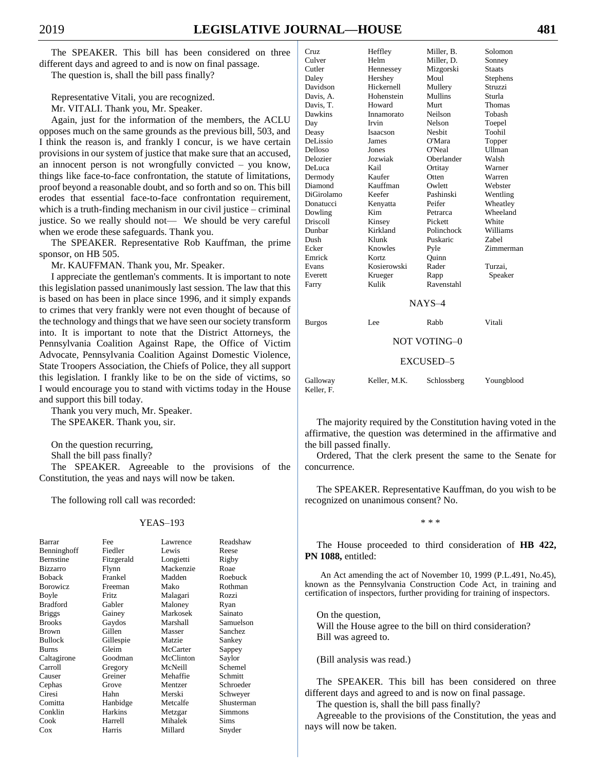The SPEAKER. This bill has been considered on three different days and agreed to and is now on final passage.

The question is, shall the bill pass finally?

Representative Vitali, you are recognized.

Mr. VITALI. Thank you, Mr. Speaker.

Again, just for the information of the members, the ACLU opposes much on the same grounds as the previous bill, 503, and I think the reason is, and frankly I concur, is we have certain provisions in our system of justice that make sure that an accused, an innocent person is not wrongfully convicted – you know, things like face-to-face confrontation, the statute of limitations, proof beyond a reasonable doubt, and so forth and so on. This bill erodes that essential face-to-face confrontation requirement, which is a truth-finding mechanism in our civil justice – criminal justice. So we really should not— We should be very careful when we erode these safeguards. Thank you.

The SPEAKER. Representative Rob Kauffman, the prime sponsor, on HB 505.

Mr. KAUFFMAN. Thank you, Mr. Speaker.

I appreciate the gentleman's comments. It is important to note this legislation passed unanimously last session. The law that this is based on has been in place since 1996, and it simply expands to crimes that very frankly were not even thought of because of the technology and things that we have seen our society transform into. It is important to note that the District Attorneys, the Pennsylvania Coalition Against Rape, the Office of Victim Advocate, Pennsylvania Coalition Against Domestic Violence, State Troopers Association, the Chiefs of Police, they all support this legislation. I frankly like to be on the side of victims, so I would encourage you to stand with victims today in the House and support this bill today.

Thank you very much, Mr. Speaker. The SPEAKER. Thank you, sir.

On the question recurring,

Shall the bill pass finally?

The SPEAKER. Agreeable to the provisions of the Constitution, the yeas and nays will now be taken.

The following roll call was recorded:

#### YEAS–193

| Barrar           | Fee        | Lawrence  | Readshaw   |
|------------------|------------|-----------|------------|
| Benninghoff      | Fiedler    | Lewis     | Reese      |
| <b>Bernstine</b> | Fitzgerald | Longietti | Rigby      |
| <b>Bizzarro</b>  | Flynn      | Mackenzie | Roae       |
| <b>Boback</b>    | Frankel    | Madden    | Roebuck    |
| <b>Borowicz</b>  | Freeman    | Mako      | Rothman    |
| Boyle            | Fritz.     | Malagari  | Rozzi      |
| <b>Bradford</b>  | Gabler     | Maloney   | Ryan       |
| <b>Briggs</b>    | Gainey     | Markosek  | Sainato    |
| <b>Brooks</b>    | Gaydos     | Marshall  | Samuelson  |
| Brown            | Gillen     | Masser    | Sanchez    |
| <b>Bullock</b>   | Gillespie  | Matzie    | Sankey     |
| Burns            | Gleim      | McCarter  | Sappey     |
| Caltagirone      | Goodman    | McClinton | Saylor     |
| Carroll          | Gregory    | McNeill   | Schemel    |
| Causer           | Greiner    | Mehaffie  | Schmitt    |
| Cephas           | Grove      | Mentzer   | Schroeder  |
| Ciresi           | Hahn       | Merski    | Schweyer   |
| Comitta          | Hanbidge   | Metcalfe  | Shusterman |
| Conklin          | Harkins    | Metzgar   | Simmons    |
| Cook             | Harrell    | Mihalek   | Sims       |
| Cox              | Harris     | Millard   | Snyder     |

| Cruz             | Heffley     | Miller. B.    | Solomon       |
|------------------|-------------|---------------|---------------|
| Culver           | Helm        | Miller, D.    | Sonney        |
| Cutler           | Hennessey   | Mizgorski     | <b>Staats</b> |
| Daley            | Hershey     | Moul          | Stephens      |
| Davidson         | Hickernell  | Mullery       | Struzzi       |
| Davis, A.        | Hohenstein  | Mullins       | Sturla        |
| Davis, T.        | Howard      | Murt          | Thomas        |
| Dawkins          | Innamorato  | Neilson       | Tobash        |
| Day              | Irvin       | Nelson        | Toepel        |
| Deasy            | Isaacson    | <b>Nesbit</b> | Toohil        |
| DeLissio         | James       | O'Mara        | Topper        |
| Delloso          | Jones       | O'Neal        | <b>Ullman</b> |
| Delozier         | Jozwiak     | Oberlander    | Walsh         |
| DeLuca           | Kail        | Ortitay       | Warner        |
| Dermody          | Kaufer      | Otten         | Warren        |
| Diamond          | Kauffman    | Owlett        | Webster       |
| DiGirolamo       | Keefer      | Pashinski     | Wentling      |
| Donatucci        | Kenyatta    | Peifer        | Wheatley      |
| Dowling          | Kim         | Petrarca      | Wheeland      |
| <b>Driscoll</b>  | Kinsey      | Pickett       | White         |
| Dunbar           | Kirkland    | Polinchock    | Williams      |
| Dush             | Klunk       | Puskaric      | <b>Zabel</b>  |
| Ecker            | Knowles     | Pyle          | Zimmerman     |
| Emrick           | Kortz       | Ouinn         |               |
| Evans            | Kosierowski | Rader         | Turzai,       |
| Everett          | Krueger     | Rapp          | Speaker       |
| Farry            | Kulik       | Ravenstahl    |               |
|                  |             | $NAYS-4$      |               |
| <b>Burgos</b>    | Lee         | Rabb          | Vitali        |
|                  |             | NOT VOTING-0  |               |
| <b>EXCUSED-5</b> |             |               |               |

Galloway Keller, M.K. Schlossberg Youngblood Keller, F.

The majority required by the Constitution having voted in the affirmative, the question was determined in the affirmative and the bill passed finally.

Ordered, That the clerk present the same to the Senate for concurrence.

The SPEAKER. Representative Kauffman, do you wish to be recognized on unanimous consent? No.

\* \* \*

The House proceeded to third consideration of **HB 422, PN 1088,** entitled:

An Act amending the act of November 10, 1999 (P.L.491, No.45), known as the Pennsylvania Construction Code Act, in training and certification of inspectors, further providing for training of inspectors.

On the question, Will the House agree to the bill on third consideration? Bill was agreed to.

(Bill analysis was read.)

The SPEAKER. This bill has been considered on three different days and agreed to and is now on final passage.

The question is, shall the bill pass finally?

Agreeable to the provisions of the Constitution, the yeas and nays will now be taken.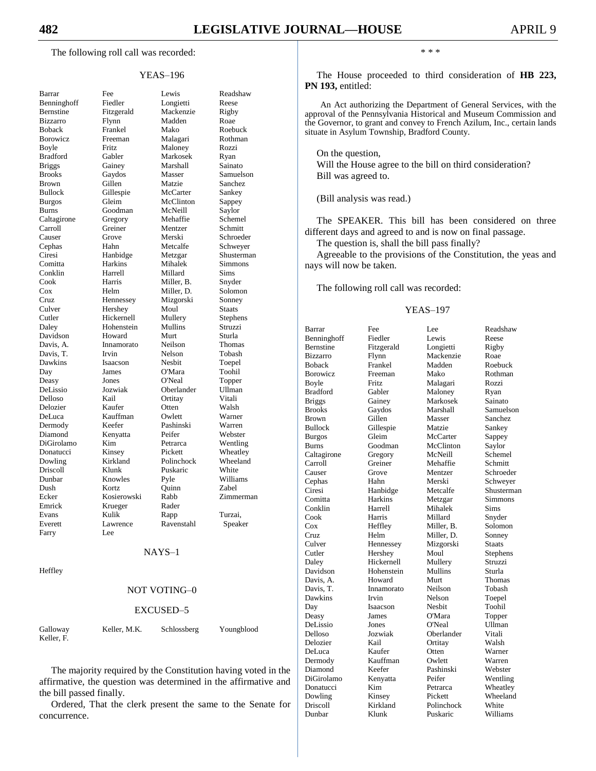The following roll call was recorded:

#### YEAS–196

| Barrar                 |
|------------------------|
| Benninghoff            |
| Bernstine              |
| Bizzarro               |
| <b>Boback</b>          |
| Borowicz               |
| Boyle                  |
| <b>Bradford</b>        |
| <b>Briggs</b>          |
| <b>Brooks</b>          |
| Brown                  |
| <b>Bullock</b>         |
| <b>Burgos</b>          |
| <b>Burns</b>           |
| Caltagirone            |
|                        |
| Carroll                |
| Causer                 |
| Cephas                 |
| Ciresi<br>$\mathsf{C}$ |
| Comitta<br>Conklin     |
|                        |
| Cook                   |
| Cox                    |
| Cruz<br>Culver         |
|                        |
| Cutler                 |
| Daley                  |
| Davidson               |
| Davis, A.              |
| Davis, T.              |
| Dawkins                |
| Day                    |
| Deasy                  |
| DeLissio               |
| Delloso                |
| Delozier               |
|                        |
| DeLuca                 |
| Dermody                |
| Diamond                |
| DiGirolamo             |
| Donatucci              |
| Dowling                |
| Driscoll               |
| Dunbar                 |
| Dush                   |
| Ecker                  |
| Emrick                 |
| Evans                  |
| Everett                |
| Farry                  |
|                        |
|                        |

Fee Lewis Readshaw Fiedler Longietti Reese Fitzgerald Mackenzie Rigby Bizzarro Flynn Madden Roae Boback Frankel Mako Roebuck Freeman Malagari Rothman Fritz Maloney Rozzi<br>Gabler Markosek Ryan Markosek Ryan Gainey Marshall Sainato Gaydos Masser Samuelson Brown Gillen Matzie Sanchez Gillespie McCarter Sankey Gleim McClinton Sappey Goodman McNeill Saylor Gregory Mehaffie Schemel Greiner Mentzer Schmitt Grove Merski Schroeder Hahn Metcalfe Schweyer Hanbidge Metzgar Shusterman Harkins Mihalek Simmons Harrell Millard Sims Harris Miller, B. Snyder Helm Miller, D. Solomon Hennessey Mizgorski Sonney Hershey Moul Staats Hickernell Mullery Stephens<br>
Hohenstein Mullins Struzzi Hohenstein Howard Murt Sturla Innamorato Neilson Thomas Davis, T. Irvin Nelson Tobash Isaacson Nesbit Toepel James O'Mara Toohil Jones O'Neal Topper DeLissio Jozwiak Oberlander Ullman Kail Ortitay Vitali Delozier Kaufer Otten Walsh Kauffman Owlett Warner Dermody Keefer Pashinski Warren Kenyatta Peifer Webster Kim Petrarca Wentling Kinsey Pickett Wheatley<br>
Rirkland Polinchock Wheeland Polinchock Wheeland Klunk Puskaric White Knowles Pyle Williams Dush Kortz Quinn Zabel Ecker Kosierowski Rabb Zimmerman Krueger Rader Evans Kulik Rapp Turzai, Lawrence Ravenstahl Speaker

NAYS–1

I ee

**Heffley** 

#### NOT VOTING–0

#### EXCUSED–5

| Galloway   | Keller, M.K. | Schlossberg | Youngblood |
|------------|--------------|-------------|------------|
| Keller, F. |              |             |            |

The majority required by the Constitution having voted in the affirmative, the question was determined in the affirmative and the bill passed finally.

Ordered, That the clerk present the same to the Senate for concurrence.

\* \* \*

The House proceeded to third consideration of **HB 223, PN 193,** entitled:

An Act authorizing the Department of General Services, with the approval of the Pennsylvania Historical and Museum Commission and the Governor, to grant and convey to French Azilum, Inc., certain lands situate in Asylum Township, Bradford County.

On the question, Will the House agree to the bill on third consideration? Bill was agreed to.

(Bill analysis was read.)

The SPEAKER. This bill has been considered on three different days and agreed to and is now on final passage.

The question is, shall the bill pass finally?

Agreeable to the provisions of the Constitution, the yeas and nays will now be taken.

The following roll call was recorded:

#### YEAS–197

Barrar Fee Lee Readshaw Benninghoff Fiedler Lewis Reese Bernstine Fitzgerald Longietti Rigby Bizzarro Flynn Mackenzie Roae Boback Frankel Madden Roebuck Borowicz Freeman Mako Rothman Boyle Fritz Malagari Rozzi<br>Bradford Gabler Maloney Ryan Briggs Gainey Markosek Sainato Brooks Gaydos Marshall Samuelson Brown Gillen Masser Sanchez Bullock Gillespie Matzie Sankey Burgos Gleim McCarter Sappey Burns Goodman McClinton Saylor<br>Caltagirone Gregory McNeill Schemel Caltagirone Gregory<br>Carroll Greiner Carroll Greiner Mehaffie Schmitt Causer Grove Mentzer Schroeder<br>Cephas Hahn Merski Schwever Ciresi Hanbidge Metcalfe Shusterman Comitta Harkins Metzgar Simmons Conklin Harrell Mihalek Sims Cook Harris Millard Snyder Cox Heffley Miller, B. Solomon<br>Cruz Helm Miller, D. Sonney Cruz Helm Miller, D. Culver Hennessey Mizgorski Staats Cutler Hershey Moul Stephens Daley Hickernell Mullery Struzzi Davidson Hohenstein Mullins Sturla Davis, A. Howard Murt Thomas Innamorato Dawkins Irvin Nelson Toepel Day Isaacson Nesbit Toohil Deasy James O'Mara Topper DeLissio Delloso Jozwiak Oberlander Vitali Delozier Kail Ortitay Walsh DeLuca Kaufer Otten Warner Dermody Kauffman Owlett Warren Diamond Keefer Pashinski Webster DiGirolamo Kenyatta Peifer Wentling Donatucci Kim Petrarca Wheatley Dowling Kinsey Pickett Wheeland Driscoll Kirkland Polinchock White

Gabler Maloney Ryan Hahn Merski Schwever

Dunbar Klunk Puskaric Williams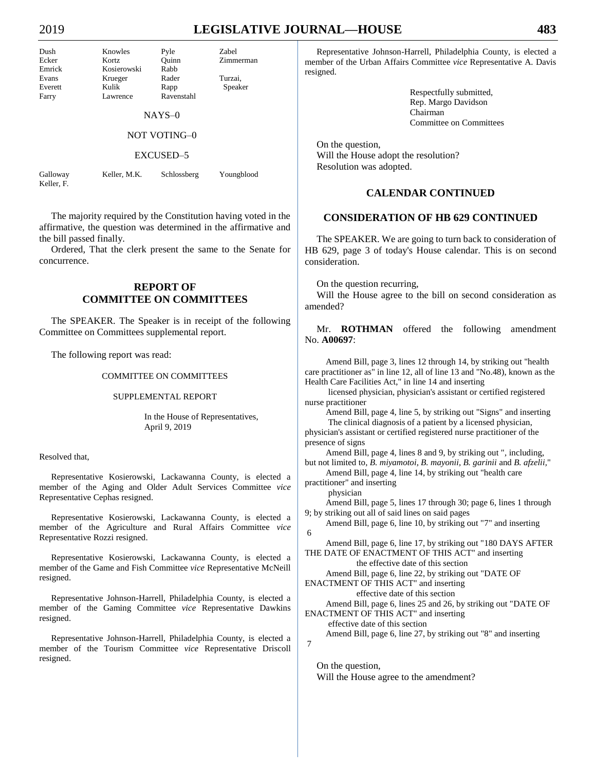# 2019 **LEGISLATIVE JOURNAL—HOUSE 483**

| Dush    | Knowles     | Pyle                | Zabel     |
|---------|-------------|---------------------|-----------|
| Ecker   | Kortz       | Ouinn               | Zimmerman |
| Emrick  | Kosierowski | Rabb                |           |
| Evans   | Krueger     | Rader               | Turzai,   |
| Everett | Kulik       | Rapp                | Speaker   |
| Farry   | Lawrence    | Ravenstahl          |           |
|         |             | $NAYS-0$            |           |
|         |             | <b>NOT VOTING-0</b> |           |

#### EXCUSED–5

Galloway Keller, M.K. Schlossberg Youngblood Keller, F.

The majority required by the Constitution having voted in the affirmative, the question was determined in the affirmative and the bill passed finally.

Ordered, That the clerk present the same to the Senate for concurrence.

## **REPORT OF COMMITTEE ON COMMITTEES**

The SPEAKER. The Speaker is in receipt of the following Committee on Committees supplemental report.

The following report was read:

#### COMMITTEE ON COMMITTEES

#### SUPPLEMENTAL REPORT

In the House of Representatives, April 9, 2019

#### Resolved that,

Representative Kosierowski, Lackawanna County, is elected a member of the Aging and Older Adult Services Committee *vice* Representative Cephas resigned.

Representative Kosierowski, Lackawanna County, is elected a member of the Agriculture and Rural Affairs Committee *vice* Representative Rozzi resigned.

Representative Kosierowski, Lackawanna County, is elected a member of the Game and Fish Committee *vice* Representative McNeill resigned.

Representative Johnson-Harrell, Philadelphia County, is elected a member of the Gaming Committee *vice* Representative Dawkins resigned.

Representative Johnson-Harrell, Philadelphia County, is elected a member of the Tourism Committee *vice* Representative Driscoll resigned.

Representative Johnson-Harrell, Philadelphia County, is elected a member of the Urban Affairs Committee *vice* Representative A. Davis resigned.

> Respectfully submitted, Rep. Margo Davidson Chairman Committee on Committees

On the question, Will the House adopt the resolution? Resolution was adopted.

## **CALENDAR CONTINUED**

## **CONSIDERATION OF HB 629 CONTINUED**

The SPEAKER. We are going to turn back to consideration of HB 629, page 3 of today's House calendar. This is on second consideration.

On the question recurring,

Will the House agree to the bill on second consideration as amended?

Mr. **ROTHMAN** offered the following amendment No. **A00697**:

Amend Bill, page 3, lines 12 through 14, by striking out "health care practitioner as" in line 12, all of line 13 and "No.48), known as the Health Care Facilities Act," in line 14 and inserting

licensed physician, physician's assistant or certified registered nurse practitioner

Amend Bill, page 4, line 5, by striking out "Signs" and inserting The clinical diagnosis of a patient by a licensed physician, physician's assistant or certified registered nurse practitioner of the presence of signs

Amend Bill, page 4, lines 8 and 9, by striking out "*,* including, but not limited to, *B. miyamotoi, B. mayonii, B. garinii* and *B. afzelii,*"

Amend Bill, page 4, line 14, by striking out "health care practitioner" and inserting

physician

7

Amend Bill, page 5, lines 17 through 30; page 6, lines 1 through 9; by striking out all of said lines on said pages

Amend Bill, page 6, line 10, by striking out "7" and inserting 6

Amend Bill, page 6, line 17, by striking out "180 DAYS AFTER THE DATE OF ENACTMENT OF THIS ACT" and inserting

the effective date of this section

Amend Bill, page 6, line 22, by striking out "DATE OF ENACTMENT OF THIS ACT" and inserting

effective date of this section

Amend Bill, page 6, lines 25 and 26, by striking out "DATE OF ENACTMENT OF THIS ACT" and inserting

effective date of this section

Amend Bill, page 6, line 27, by striking out "8" and inserting

On the question, Will the House agree to the amendment?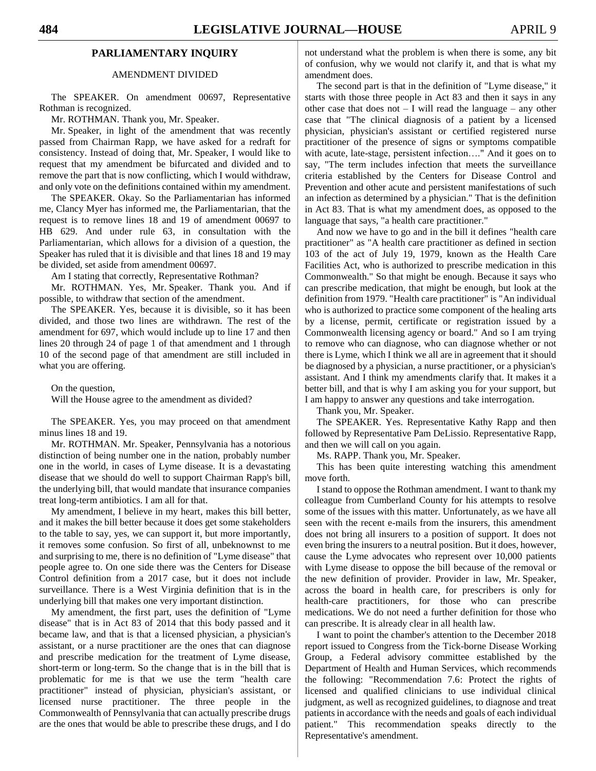## **PARLIAMENTARY INQUIRY**

## AMENDMENT DIVIDED

The SPEAKER. On amendment 00697, Representative Rothman is recognized.

Mr. ROTHMAN. Thank you, Mr. Speaker.

Mr. Speaker, in light of the amendment that was recently passed from Chairman Rapp, we have asked for a redraft for consistency. Instead of doing that, Mr. Speaker, I would like to request that my amendment be bifurcated and divided and to remove the part that is now conflicting, which I would withdraw, and only vote on the definitions contained within my amendment.

The SPEAKER. Okay. So the Parliamentarian has informed me, Clancy Myer has informed me, the Parliamentarian, that the request is to remove lines 18 and 19 of amendment 00697 to HB 629. And under rule 63, in consultation with the Parliamentarian, which allows for a division of a question, the Speaker has ruled that it is divisible and that lines 18 and 19 may be divided, set aside from amendment 00697.

Am I stating that correctly, Representative Rothman?

Mr. ROTHMAN. Yes, Mr. Speaker. Thank you. And if possible, to withdraw that section of the amendment.

The SPEAKER. Yes, because it is divisible, so it has been divided, and those two lines are withdrawn. The rest of the amendment for 697, which would include up to line 17 and then lines 20 through 24 of page 1 of that amendment and 1 through 10 of the second page of that amendment are still included in what you are offering.

On the question,

Will the House agree to the amendment as divided?

The SPEAKER. Yes, you may proceed on that amendment minus lines 18 and 19.

Mr. ROTHMAN. Mr. Speaker, Pennsylvania has a notorious distinction of being number one in the nation, probably number one in the world, in cases of Lyme disease. It is a devastating disease that we should do well to support Chairman Rapp's bill, the underlying bill, that would mandate that insurance companies treat long-term antibiotics. I am all for that.

My amendment, I believe in my heart, makes this bill better, and it makes the bill better because it does get some stakeholders to the table to say, yes, we can support it, but more importantly, it removes some confusion. So first of all, unbeknownst to me and surprising to me, there is no definition of "Lyme disease" that people agree to. On one side there was the Centers for Disease Control definition from a 2017 case, but it does not include surveillance. There is a West Virginia definition that is in the underlying bill that makes one very important distinction.

My amendment, the first part, uses the definition of "Lyme disease" that is in Act 83 of 2014 that this body passed and it became law, and that is that a licensed physician, a physician's assistant, or a nurse practitioner are the ones that can diagnose and prescribe medication for the treatment of Lyme disease, short-term or long-term. So the change that is in the bill that is problematic for me is that we use the term "health care practitioner" instead of physician, physician's assistant, or licensed nurse practitioner. The three people in the Commonwealth of Pennsylvania that can actually prescribe drugs are the ones that would be able to prescribe these drugs, and I do

not understand what the problem is when there is some, any bit of confusion, why we would not clarify it, and that is what my amendment does.

The second part is that in the definition of "Lyme disease," it starts with those three people in Act 83 and then it says in any other case that does not  $- I$  will read the language – any other case that "The clinical diagnosis of a patient by a licensed physician, physician's assistant or certified registered nurse practitioner of the presence of signs or symptoms compatible with acute, late-stage, persistent infection…." And it goes on to say, "The term includes infection that meets the surveillance criteria established by the Centers for Disease Control and Prevention and other acute and persistent manifestations of such an infection as determined by a physician." That is the definition in Act 83. That is what my amendment does, as opposed to the language that says, "a health care practitioner."

And now we have to go and in the bill it defines "health care practitioner" as "A health care practitioner as defined in section 103 of the act of July 19, 1979, known as the Health Care Facilities Act, who is authorized to prescribe medication in this Commonwealth." So that might be enough. Because it says who can prescribe medication, that might be enough, but look at the definition from 1979. "Health care practitioner" is "An individual who is authorized to practice some component of the healing arts by a license, permit, certificate or registration issued by a Commonwealth licensing agency or board." And so I am trying to remove who can diagnose, who can diagnose whether or not there is Lyme, which I think we all are in agreement that it should be diagnosed by a physician, a nurse practitioner, or a physician's assistant. And I think my amendments clarify that. It makes it a better bill, and that is why I am asking you for your support, but I am happy to answer any questions and take interrogation.

Thank you, Mr. Speaker.

The SPEAKER. Yes. Representative Kathy Rapp and then followed by Representative Pam DeLissio. Representative Rapp, and then we will call on you again.

Ms. RAPP. Thank you, Mr. Speaker.

This has been quite interesting watching this amendment move forth.

I stand to oppose the Rothman amendment. I want to thank my colleague from Cumberland County for his attempts to resolve some of the issues with this matter. Unfortunately, as we have all seen with the recent e-mails from the insurers, this amendment does not bring all insurers to a position of support. It does not even bring the insurers to a neutral position. But it does, however, cause the Lyme advocates who represent over 10,000 patients with Lyme disease to oppose the bill because of the removal or the new definition of provider. Provider in law, Mr. Speaker, across the board in health care, for prescribers is only for health-care practitioners, for those who can prescribe medications. We do not need a further definition for those who can prescribe. It is already clear in all health law.

I want to point the chamber's attention to the December 2018 report issued to Congress from the Tick-borne Disease Working Group, a Federal advisory committee established by the Department of Health and Human Services, which recommends the following: "Recommendation 7.6: Protect the rights of licensed and qualified clinicians to use individual clinical judgment, as well as recognized guidelines, to diagnose and treat patients in accordance with the needs and goals of each individual patient." This recommendation speaks directly to the Representative's amendment.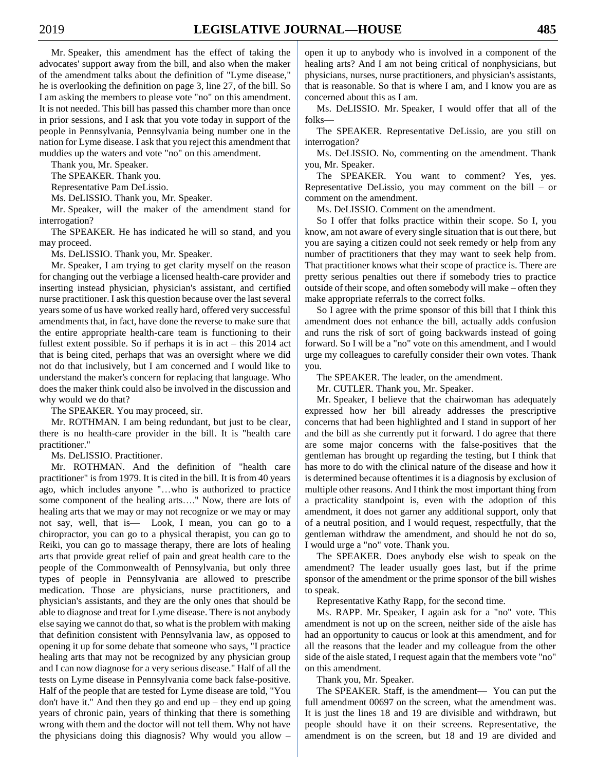Mr. Speaker, this amendment has the effect of taking the advocates' support away from the bill, and also when the maker of the amendment talks about the definition of "Lyme disease," he is overlooking the definition on page 3, line 27, of the bill. So I am asking the members to please vote "no" on this amendment. It is not needed. This bill has passed this chamber more than once in prior sessions, and I ask that you vote today in support of the people in Pennsylvania, Pennsylvania being number one in the nation for Lyme disease. I ask that you reject this amendment that muddies up the waters and vote "no" on this amendment.

Thank you, Mr. Speaker.

The SPEAKER. Thank you.

Representative Pam DeLissio.

Ms. DeLISSIO. Thank you, Mr. Speaker.

Mr. Speaker, will the maker of the amendment stand for interrogation?

The SPEAKER. He has indicated he will so stand, and you may proceed.

Ms. DeLISSIO. Thank you, Mr. Speaker.

Mr. Speaker, I am trying to get clarity myself on the reason for changing out the verbiage a licensed health-care provider and inserting instead physician, physician's assistant, and certified nurse practitioner. I ask this question because over the last several years some of us have worked really hard, offered very successful amendments that, in fact, have done the reverse to make sure that the entire appropriate health-care team is functioning to their fullest extent possible. So if perhaps it is in act – this 2014 act that is being cited, perhaps that was an oversight where we did not do that inclusively, but I am concerned and I would like to understand the maker's concern for replacing that language. Who does the maker think could also be involved in the discussion and why would we do that?

The SPEAKER. You may proceed, sir.

Mr. ROTHMAN. I am being redundant, but just to be clear, there is no health-care provider in the bill. It is "health care practitioner."

Ms. DeLISSIO. Practitioner.

Mr. ROTHMAN. And the definition of "health care practitioner" is from 1979. It is cited in the bill. It is from 40 years ago, which includes anyone "…who is authorized to practice some component of the healing arts…." Now, there are lots of healing arts that we may or may not recognize or we may or may not say, well, that is— Look, I mean, you can go to a chiropractor, you can go to a physical therapist, you can go to Reiki, you can go to massage therapy, there are lots of healing arts that provide great relief of pain and great health care to the people of the Commonwealth of Pennsylvania, but only three types of people in Pennsylvania are allowed to prescribe medication. Those are physicians, nurse practitioners, and physician's assistants, and they are the only ones that should be able to diagnose and treat for Lyme disease. There is not anybody else saying we cannot do that, so what is the problem with making that definition consistent with Pennsylvania law, as opposed to opening it up for some debate that someone who says, "I practice healing arts that may not be recognized by any physician group and I can now diagnose for a very serious disease." Half of all the tests on Lyme disease in Pennsylvania come back false-positive. Half of the people that are tested for Lyme disease are told, "You don't have it." And then they go and end  $up$  – they end up going years of chronic pain, years of thinking that there is something wrong with them and the doctor will not tell them. Why not have the physicians doing this diagnosis? Why would you allow –

open it up to anybody who is involved in a component of the healing arts? And I am not being critical of nonphysicians, but physicians, nurses, nurse practitioners, and physician's assistants, that is reasonable. So that is where I am, and I know you are as concerned about this as I am.

Ms. DeLISSIO. Mr. Speaker, I would offer that all of the folks—

The SPEAKER. Representative DeLissio, are you still on interrogation?

Ms. DeLISSIO. No, commenting on the amendment. Thank you, Mr. Speaker.

The SPEAKER. You want to comment? Yes, yes. Representative DeLissio, you may comment on the bill – or comment on the amendment.

Ms. DeLISSIO. Comment on the amendment.

So I offer that folks practice within their scope. So I, you know, am not aware of every single situation that is out there, but you are saying a citizen could not seek remedy or help from any number of practitioners that they may want to seek help from. That practitioner knows what their scope of practice is. There are pretty serious penalties out there if somebody tries to practice outside of their scope, and often somebody will make – often they make appropriate referrals to the correct folks.

So I agree with the prime sponsor of this bill that I think this amendment does not enhance the bill, actually adds confusion and runs the risk of sort of going backwards instead of going forward. So I will be a "no" vote on this amendment, and I would urge my colleagues to carefully consider their own votes. Thank you.

The SPEAKER. The leader, on the amendment.

Mr. CUTLER. Thank you, Mr. Speaker.

Mr. Speaker, I believe that the chairwoman has adequately expressed how her bill already addresses the prescriptive concerns that had been highlighted and I stand in support of her and the bill as she currently put it forward. I do agree that there are some major concerns with the false-positives that the gentleman has brought up regarding the testing, but I think that has more to do with the clinical nature of the disease and how it is determined because oftentimes it is a diagnosis by exclusion of multiple other reasons. And I think the most important thing from a practicality standpoint is, even with the adoption of this amendment, it does not garner any additional support, only that of a neutral position, and I would request, respectfully, that the gentleman withdraw the amendment, and should he not do so, I would urge a "no" vote. Thank you.

The SPEAKER. Does anybody else wish to speak on the amendment? The leader usually goes last, but if the prime sponsor of the amendment or the prime sponsor of the bill wishes to speak.

Representative Kathy Rapp, for the second time.

Ms. RAPP. Mr. Speaker, I again ask for a "no" vote. This amendment is not up on the screen, neither side of the aisle has had an opportunity to caucus or look at this amendment, and for all the reasons that the leader and my colleague from the other side of the aisle stated, I request again that the members vote "no" on this amendment.

Thank you, Mr. Speaker.

The SPEAKER. Staff, is the amendment— You can put the full amendment 00697 on the screen, what the amendment was. It is just the lines 18 and 19 are divisible and withdrawn, but people should have it on their screens. Representative, the amendment is on the screen, but 18 and 19 are divided and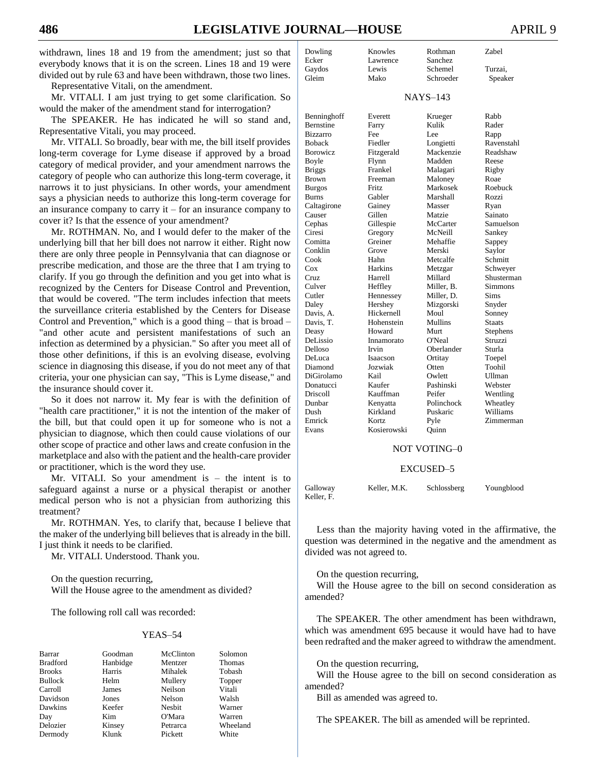withdrawn, lines 18 and 19 from the amendment; just so that everybody knows that it is on the screen. Lines 18 and 19 were divided out by rule 63 and have been withdrawn, those two lines.

Representative Vitali, on the amendment.

Mr. VITALI. I am just trying to get some clarification. So would the maker of the amendment stand for interrogation?

The SPEAKER. He has indicated he will so stand and, Representative Vitali, you may proceed.

Mr. VITALI. So broadly, bear with me, the bill itself provides long-term coverage for Lyme disease if approved by a broad category of medical provider, and your amendment narrows the category of people who can authorize this long-term coverage, it narrows it to just physicians. In other words, your amendment says a physician needs to authorize this long-term coverage for an insurance company to carry it – for an insurance company to cover it? Is that the essence of your amendment?

Mr. ROTHMAN. No, and I would defer to the maker of the underlying bill that her bill does not narrow it either. Right now there are only three people in Pennsylvania that can diagnose or prescribe medication, and those are the three that I am trying to clarify. If you go through the definition and you get into what is recognized by the Centers for Disease Control and Prevention, that would be covered. "The term includes infection that meets the surveillance criteria established by the Centers for Disease Control and Prevention," which is a good thing – that is broad – "and other acute and persistent manifestations of such an infection as determined by a physician." So after you meet all of those other definitions, if this is an evolving disease, evolving science in diagnosing this disease, if you do not meet any of that criteria, your one physician can say, "This is Lyme disease," and the insurance should cover it.

So it does not narrow it. My fear is with the definition of "health care practitioner," it is not the intention of the maker of the bill, but that could open it up for someone who is not a physician to diagnose, which then could cause violations of our other scope of practice and other laws and create confusion in the marketplace and also with the patient and the health-care provider or practitioner, which is the word they use.

Mr. VITALI. So your amendment is  $-$  the intent is to safeguard against a nurse or a physical therapist or another medical person who is not a physician from authorizing this treatment?

Mr. ROTHMAN. Yes, to clarify that, because I believe that the maker of the underlying bill believes that is already in the bill. I just think it needs to be clarified.

Mr. VITALI. Understood. Thank you.

On the question recurring, Will the House agree to the amendment as divided?

The following roll call was recorded:

#### YEAS–54

| Barrar          | Goodman  | McClinton | Solomon       |
|-----------------|----------|-----------|---------------|
| <b>Bradford</b> | Hanbidge | Mentzer   | <b>Thomas</b> |
| <b>Brooks</b>   | Harris   | Mihalek   | Tobash        |
| <b>Bullock</b>  | Helm     | Mullery   | Topper        |
| Carroll         | James    | Neilson   | Vitali        |
| Davidson        | Jones    | Nelson    | Walsh         |
| Dawkins         | Keefer   | Nesbit    | Warner        |
| Day             | Kim.     | O'Mara    | Warren        |
| Delozier        | Kinsey   | Petrarca  | Wheeland      |
| Dermody         | Klunk    | Pickett   | White         |

| Dowling           | Knowles     | Rothman         | Zabel      |
|-------------------|-------------|-----------------|------------|
| Ecker             | Lawrence    | Sanchez         |            |
| Gaydos            | Lewis       | Schemel         | Turzai,    |
| Gleim             | Mako        | Schroeder       | Speaker    |
|                   |             |                 |            |
|                   |             | <b>NAYS-143</b> |            |
| Benninghoff       | Everett     | Krueger         | Rabb       |
| Bernstine         | Farry       | Kulik           | Rader      |
| <b>Bizzarro</b>   | Fee         | Lee             | Rapp       |
| <b>Boback</b>     | Fiedler     | Longietti       | Ravenstahl |
| Borowicz          | Fitzgerald  | Mackenzie       | Readshaw   |
| Boyle             | Flynn       | Madden          | Reese      |
| <b>Briggs</b>     | Frankel     | Malagari        | Rigby      |
| <b>Brown</b>      | Freeman     | Maloney         | Roae       |
| <b>Burgos</b>     | Fritz       | Markosek        | Roebuck    |
| Burns             | Gabler      | Marshall        | Rozzi      |
| Caltagirone       | Gainey      | Masser          | Ryan       |
| Causer            | Gillen      | Matzie          | Sainato    |
| Cephas            | Gillespie   | McCarter        | Samuelson  |
| Ciresi            | Gregory     | McNeill         | Sankey     |
| Comitta           | Greiner     | Mehaffie        | Sappey     |
| Conklin           | Grove       | Merski          | Saylor     |
| Cook              | Hahn        | Metcalfe        | Schmitt    |
| $\cos$            | Harkins     | Metzgar         | Schwever   |
| Cruz              | Harrell     | Millard         | Shusterman |
| Culver            | Heffley     | Miller, B.      | Simmons    |
| Cutler            | Hennessey   | Miller, D.      | Sims       |
| Daley             | Hershey     | Mizgorski       | Snyder     |
| Davis, A.         | Hickernell  | Moul            | Sonney     |
| Davis, T.         | Hohenstein  | Mullins         | Staats     |
| Deasy             | Howard      | Murt            | Stephens   |
| DeLissio          | Innamorato  | O'Neal          | Struzzi    |
| Delloso           | Irvin       | Oberlander      | Sturla     |
| DeLuca            | Isaacson    | Ortitay         | Toepel     |
| Diamond           | Jozwiak     | Otten           | Toohil     |
| <b>DiGirolamo</b> | Kail        | Owlett          | Ullman     |
| Donatucci         | Kaufer      | Pashinski       | Webster    |
| Driscoll          | Kauffman    | Peifer          | Wentling   |
| Dunbar            | Kenyatta    | Polinchock      | Wheatley   |
| Dush              | Kirkland    | Puskaric        | Williams   |
| Emrick            | Kortz       | Pyle            | Zimmerman  |
| Evans             | Kosierowski | Quinn           |            |
|                   |             |                 |            |

## NOT VOTING–0

#### EXCUSED–5

| Galloway      | Keller, M.K. | Schlossberg | Youngblood |
|---------------|--------------|-------------|------------|
| $K$ eller $F$ |              |             |            |

Less than the majority having voted in the affirmative, the question was determined in the negative and the amendment as divided was not agreed to.

On the question recurring,

Will the House agree to the bill on second consideration as amended?

The SPEAKER. The other amendment has been withdrawn, which was amendment 695 because it would have had to have been redrafted and the maker agreed to withdraw the amendment.

On the question recurring,

Will the House agree to the bill on second consideration as amended?

Bill as amended was agreed to.

The SPEAKER. The bill as amended will be reprinted.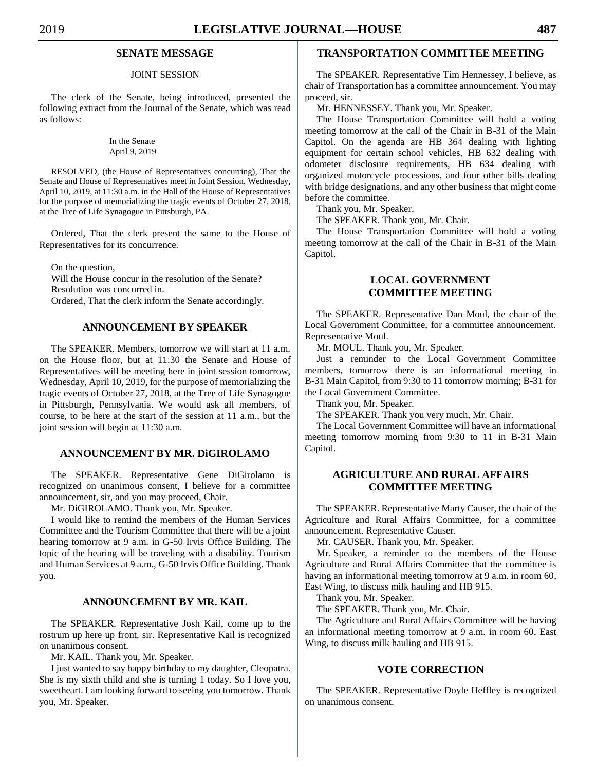## **SENATE MESSAGE**

## JOINT SESSION

The clerk of the Senate, being introduced, presented the following extract from the Journal of the Senate, which was read as follows:

> In the Senate April 9, 2019

RESOLVED, (the House of Representatives concurring), That the Senate and House of Representatives meet in Joint Session, Wednesday, April 10, 2019, at 11:30 a.m. in the Hall of the House of Representatives for the purpose of memorializing the tragic events of October 27, 2018, at the Tree of Life Synagogue in Pittsburgh, PA.

Ordered, That the clerk present the same to the House of Representatives for its concurrence.

On the question, Will the House concur in the resolution of the Senate? Resolution was concurred in.

Ordered, That the clerk inform the Senate accordingly.

## **ANNOUNCEMENT BY SPEAKER**

The SPEAKER. Members, tomorrow we will start at 11 a.m. on the House floor, but at 11:30 the Senate and House of Representatives will be meeting here in joint session tomorrow, Wednesday, April 10, 2019, for the purpose of memorializing the tragic events of October 27, 2018, at the Tree of Life Synagogue in Pittsburgh, Pennsylvania. We would ask all members, of course, to be here at the start of the session at 11 a.m., but the joint session will begin at 11:30 a.m.

### **ANNOUNCEMENT BY MR. DiGIROLAMO**

The SPEAKER. Representative Gene DiGirolamo is recognized on unanimous consent, I believe for a committee announcement, sir, and you may proceed, Chair.

Mr. DiGIROLAMO. Thank you, Mr. Speaker.

I would like to remind the members of the Human Services Committee and the Tourism Committee that there will be a joint hearing tomorrow at 9 a.m. in G-50 Irvis Office Building. The topic of the hearing will be traveling with a disability. Tourism and Human Services at 9 a.m., G-50 Irvis Office Building. Thank you.

## **ANNOUNCEMENT BY MR. KAIL**

The SPEAKER. Representative Josh Kail, come up to the rostrum up here up front, sir. Representative Kail is recognized on unanimous consent.

Mr. KAIL. Thank you, Mr. Speaker.

I just wanted to say happy birthday to my daughter, Cleopatra. She is my sixth child and she is turning 1 today. So I love you, sweetheart. I am looking forward to seeing you tomorrow. Thank you, Mr. Speaker.

## **TRANSPORTATION COMMITTEE MEETING**

The SPEAKER. Representative Tim Hennessey, I believe, as chair of Transportation has a committee announcement. You may proceed, sir.

Mr. HENNESSEY. Thank you, Mr. Speaker.

The House Transportation Committee will hold a voting meeting tomorrow at the call of the Chair in B-31 of the Main Capitol. On the agenda are HB 364 dealing with lighting equipment for certain school vehicles, HB 632 dealing with odometer disclosure requirements, HB 634 dealing with organized motorcycle processions, and four other bills dealing with bridge designations, and any other business that might come before the committee.

Thank you, Mr. Speaker.

The SPEAKER. Thank you, Mr. Chair.

The House Transportation Committee will hold a voting meeting tomorrow at the call of the Chair in B-31 of the Main Capitol.

## **LOCAL GOVERNMENT COMMITTEE MEETING**

The SPEAKER. Representative Dan Moul, the chair of the Local Government Committee, for a committee announcement. Representative Moul.

Mr. MOUL. Thank you, Mr. Speaker.

Just a reminder to the Local Government Committee members, tomorrow there is an informational meeting in B-31 Main Capitol, from 9:30 to 11 tomorrow morning; B-31 for the Local Government Committee.

Thank you, Mr. Speaker.

The SPEAKER. Thank you very much, Mr. Chair.

The Local Government Committee will have an informational meeting tomorrow morning from 9:30 to 11 in B-31 Main Capitol.

## **AGRICULTURE AND RURAL AFFAIRS COMMITTEE MEETING**

The SPEAKER. Representative Marty Causer, the chair of the Agriculture and Rural Affairs Committee, for a committee announcement. Representative Causer.

Mr. CAUSER. Thank you, Mr. Speaker.

Mr. Speaker, a reminder to the members of the House Agriculture and Rural Affairs Committee that the committee is having an informational meeting tomorrow at 9 a.m. in room 60, East Wing, to discuss milk hauling and HB 915.

Thank you, Mr. Speaker.

The SPEAKER. Thank you, Mr. Chair.

The Agriculture and Rural Affairs Committee will be having an informational meeting tomorrow at 9 a.m. in room 60, East Wing, to discuss milk hauling and HB 915.

## **VOTE CORRECTION**

The SPEAKER. Representative Doyle Heffley is recognized on unanimous consent.